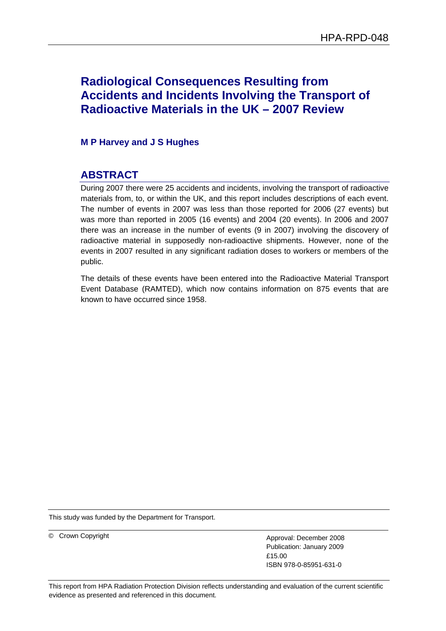# **Radiological Consequences Resulting from Accidents and Incidents Involving the Transport of Radioactive Materials in the UK – 2007 Review**

**M P Harvey and J S Hughes** 

# **ABSTRACT**

During 2007 there were 25 accidents and incidents, involving the transport of radioactive materials from, to, or within the UK, and this report includes descriptions of each event. The number of events in 2007 was less than those reported for 2006 (27 events) but was more than reported in 2005 (16 events) and 2004 (20 events). In 2006 and 2007 there was an increase in the number of events (9 in 2007) involving the discovery of radioactive material in supposedly non-radioactive shipments. However, none of the events in 2007 resulted in any significant radiation doses to workers or members of the public.

The details of these events have been entered into the Radioactive Material Transport Event Database (RAMTED), which now contains information on 875 events that are known to have occurred since 1958.

This study was funded by the Department for Transport.

© Crown Copyright <br>
Approval: December 2008 Publication: January 2009 £15.00 ISBN 978-0-85951-631-0

This report from HPA Radiation Protection Division reflects understanding and evaluation of the current scientific evidence as presented and referenced in this document.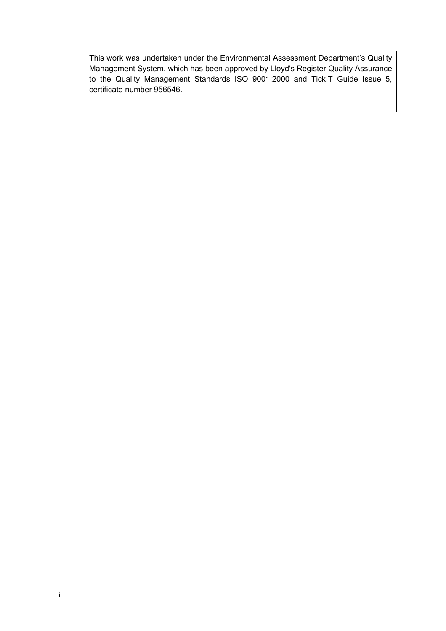This work was undertaken under the Environmental Assessment Department's Quality Management System, which has been approved by Lloyd's Register Quality Assurance to the Quality Management Standards ISO 9001:2000 and TickIT Guide Issue 5, certificate number 956546.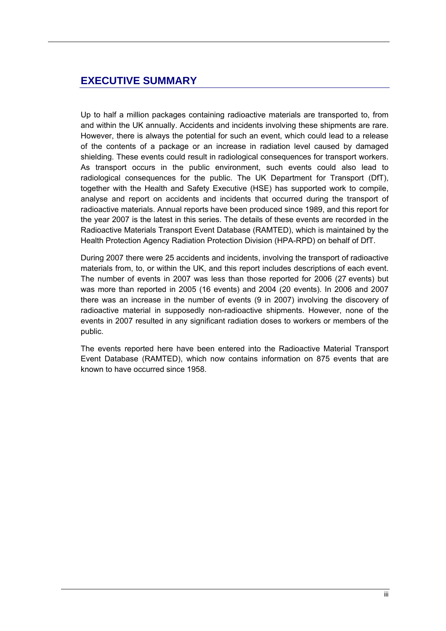## **EXECUTIVE SUMMARY**

Up to half a million packages containing radioactive materials are transported to, from and within the UK annually. Accidents and incidents involving these shipments are rare. However, there is always the potential for such an event, which could lead to a release of the contents of a package or an increase in radiation level caused by damaged shielding. These events could result in radiological consequences for transport workers. As transport occurs in the public environment, such events could also lead to radiological consequences for the public. The UK Department for Transport (DfT), together with the Health and Safety Executive (HSE) has supported work to compile, analyse and report on accidents and incidents that occurred during the transport of radioactive materials. Annual reports have been produced since 1989, and this report for the year 2007 is the latest in this series. The details of these events are recorded in the Radioactive Materials Transport Event Database (RAMTED), which is maintained by the Health Protection Agency Radiation Protection Division (HPA-RPD) on behalf of DfT.

During 2007 there were 25 accidents and incidents, involving the transport of radioactive materials from, to, or within the UK, and this report includes descriptions of each event. The number of events in 2007 was less than those reported for 2006 (27 events) but was more than reported in 2005 (16 events) and 2004 (20 events). In 2006 and 2007 there was an increase in the number of events (9 in 2007) involving the discovery of radioactive material in supposedly non-radioactive shipments. However, none of the events in 2007 resulted in any significant radiation doses to workers or members of the public.

The events reported here have been entered into the Radioactive Material Transport Event Database (RAMTED), which now contains information on 875 events that are known to have occurred since 1958.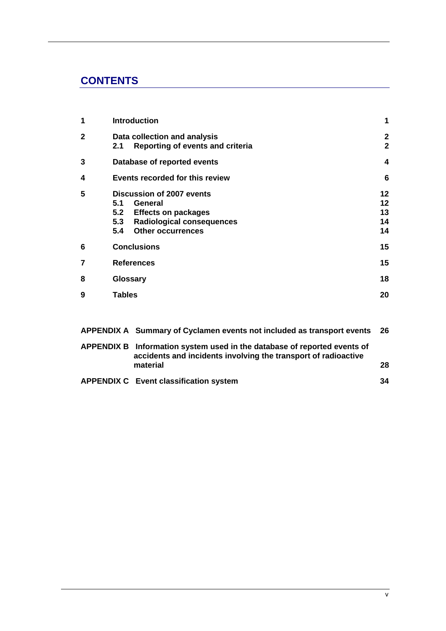# **CONTENTS**

| 1                                                                                                                                                                                              | <b>Introduction</b><br>1                                                |                                                                        |          |  |  |  |  |
|------------------------------------------------------------------------------------------------------------------------------------------------------------------------------------------------|-------------------------------------------------------------------------|------------------------------------------------------------------------|----------|--|--|--|--|
| $\overline{2}$                                                                                                                                                                                 | Data collection and analysis<br>Reporting of events and criteria<br>2.1 |                                                                        |          |  |  |  |  |
| 3                                                                                                                                                                                              |                                                                         | Database of reported events                                            | 4        |  |  |  |  |
| 4                                                                                                                                                                                              | Events recorded for this review                                         |                                                                        |          |  |  |  |  |
| 5<br>Discussion of 2007 events<br>5.1<br>General<br>5.2<br><b>Effects on packages</b><br>5.3<br><b>Radiological consequences</b><br><b>Other occurrences</b><br>5.4<br><b>Conclusions</b><br>6 |                                                                         |                                                                        |          |  |  |  |  |
| 7                                                                                                                                                                                              |                                                                         | <b>References</b>                                                      | 15<br>15 |  |  |  |  |
| 8                                                                                                                                                                                              | Glossary                                                                |                                                                        | 18       |  |  |  |  |
| 9                                                                                                                                                                                              | <b>Tables</b>                                                           |                                                                        | 20       |  |  |  |  |
|                                                                                                                                                                                                |                                                                         | APPENDIX A Summary of Cyclamen events not included as transport events | 26       |  |  |  |  |
| <b>APPENDIX B</b><br>Information system used in the database of reported events of<br>accidents and incidents involving the transport of radioactive                                           |                                                                         |                                                                        |          |  |  |  |  |

| <b>APPENDIX C</b> Event classification system |  |
|-----------------------------------------------|--|

 **material 28**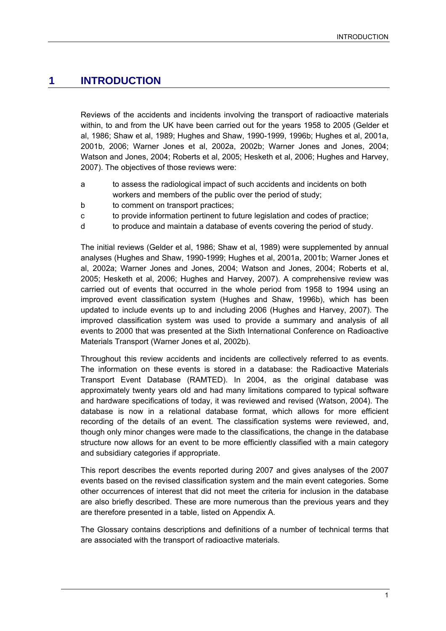## **1 INTRODUCTION**

Reviews of the accidents and incidents involving the transport of radioactive materials within, to and from the UK have been carried out for the years 1958 to 2005 (Gelder et al, 1986; Shaw et al, 1989; Hughes and Shaw, 1990-1999, 1996b; Hughes et al, 2001a, 2001b, 2006; Warner Jones et al, 2002a, 2002b; Warner Jones and Jones, 2004; Watson and Jones, 2004; Roberts et al, 2005; Hesketh et al, 2006; Hughes and Harvey, 2007). The objectives of those reviews were:

- a to assess the radiological impact of such accidents and incidents on both workers and members of the public over the period of study;
- b to comment on transport practices;
- c to provide information pertinent to future legislation and codes of practice;
- d to produce and maintain a database of events covering the period of study.

The initial reviews (Gelder et al, 1986; Shaw et al, 1989) were supplemented by annual analyses (Hughes and Shaw, 1990-1999; Hughes et al, 2001a, 2001b; Warner Jones et al, 2002a; Warner Jones and Jones, 2004; Watson and Jones, 2004; Roberts et al, 2005; Hesketh et al, 2006; Hughes and Harvey, 2007). A comprehensive review was carried out of events that occurred in the whole period from 1958 to 1994 using an improved event classification system (Hughes and Shaw, 1996b), which has been updated to include events up to and including 2006 (Hughes and Harvey, 2007). The improved classification system was used to provide a summary and analysis of all events to 2000 that was presented at the Sixth International Conference on Radioactive Materials Transport (Warner Jones et al, 2002b).

Throughout this review accidents and incidents are collectively referred to as events. The information on these events is stored in a database: the Radioactive Materials Transport Event Database (RAMTED). In 2004, as the original database was approximately twenty years old and had many limitations compared to typical software and hardware specifications of today, it was reviewed and revised (Watson, 2004). The database is now in a relational database format, which allows for more efficient recording of the details of an event. The classification systems were reviewed, and, though only minor changes were made to the classifications, the change in the database structure now allows for an event to be more efficiently classified with a main category and subsidiary categories if appropriate.

This report describes the events reported during 2007 and gives analyses of the 2007 events based on the revised classification system and the main event categories. Some other occurrences of interest that did not meet the criteria for inclusion in the database are also briefly described. These are more numerous than the previous years and they are therefore presented in a table, listed on Appendix A.

The Glossary contains descriptions and definitions of a number of technical terms that are associated with the transport of radioactive materials.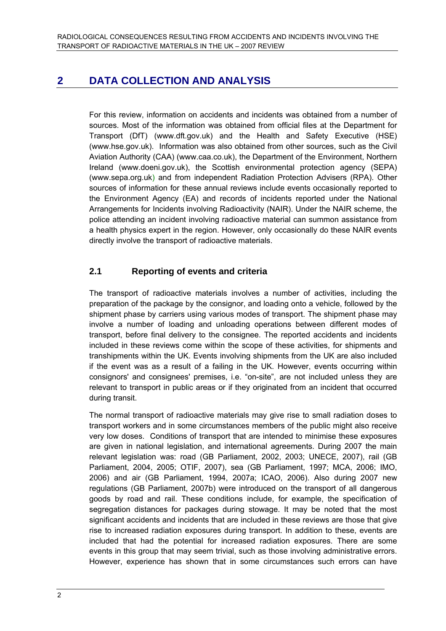# **2 DATA COLLECTION AND ANALYSIS**

For this review, information on accidents and incidents was obtained from a number of sources. Most of the information was obtained from official files at the Department for Transport (DfT) (www.dft.gov.uk) and the Health and Safety Executive (HSE) (www.hse.gov.uk). Information was also obtained from other sources, such as the Civil Aviation Authority (CAA) (www.caa.co.uk), the Department of the Environment, Northern Ireland (www.doeni.gov.uk), the Scottish environmental protection agency (SEPA) (www.sepa.org.uk) and from independent Radiation Protection Advisers (RPA). Other sources of information for these annual reviews include events occasionally reported to the Environment Agency (EA) and records of incidents reported under the National Arrangements for Incidents involving Radioactivity (NAIR). Under the NAIR scheme, the police attending an incident involving radioactive material can summon assistance from a health physics expert in the region. However, only occasionally do these NAIR events directly involve the transport of radioactive materials.

## **2.1 Reporting of events and criteria**

The transport of radioactive materials involves a number of activities, including the preparation of the package by the consignor, and loading onto a vehicle, followed by the shipment phase by carriers using various modes of transport. The shipment phase may involve a number of loading and unloading operations between different modes of transport, before final delivery to the consignee. The reported accidents and incidents included in these reviews come within the scope of these activities, for shipments and transhipments within the UK. Events involving shipments from the UK are also included if the event was as a result of a failing in the UK. However, events occurring within consignors' and consignees' premises, i.e. "on-site", are not included unless they are relevant to transport in public areas or if they originated from an incident that occurred during transit.

The normal transport of radioactive materials may give rise to small radiation doses to transport workers and in some circumstances members of the public might also receive very low doses. Conditions of transport that are intended to minimise these exposures are given in national legislation, and international agreements. During 2007 the main relevant legislation was: road (GB Parliament, 2002, 2003; UNECE, 2007), rail (GB Parliament, 2004, 2005; OTIF, 2007), sea (GB Parliament, 1997; MCA, 2006; IMO, 2006) and air (GB Parliament, 1994, 2007a; ICAO, 2006). Also during 2007 new regulations (GB Parliament, 2007b) were introduced on the transport of all dangerous goods by road and rail. These conditions include, for example, the specification of segregation distances for packages during stowage. It may be noted that the most significant accidents and incidents that are included in these reviews are those that give rise to increased radiation exposures during transport. In addition to these, events are included that had the potential for increased radiation exposures. There are some events in this group that may seem trivial, such as those involving administrative errors. However, experience has shown that in some circumstances such errors can have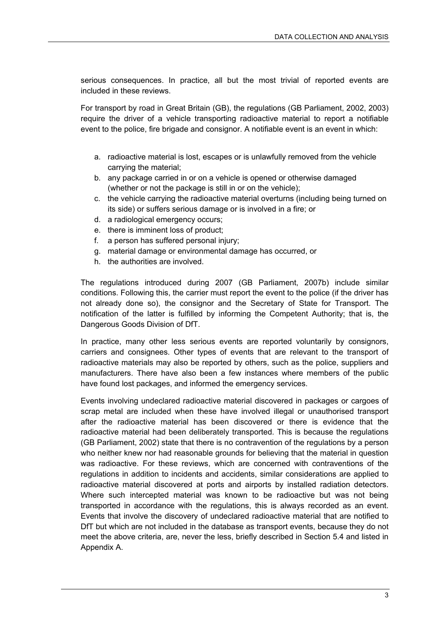serious consequences. In practice, all but the most trivial of reported events are included in these reviews.

For transport by road in Great Britain (GB), the regulations (GB Parliament, 2002, 2003) require the driver of a vehicle transporting radioactive material to report a notifiable event to the police, fire brigade and consignor. A notifiable event is an event in which:

- a. radioactive material is lost, escapes or is unlawfully removed from the vehicle carrying the material;
- b. any package carried in or on a vehicle is opened or otherwise damaged (whether or not the package is still in or on the vehicle);
- c. the vehicle carrying the radioactive material overturns (including being turned on its side) or suffers serious damage or is involved in a fire; or
- d. a radiological emergency occurs;
- e. there is imminent loss of product;
- f. a person has suffered personal injury;
- g. material damage or environmental damage has occurred, or
- h. the authorities are involved.

The regulations introduced during 2007 (GB Parliament, 2007b) include similar conditions. Following this, the carrier must report the event to the police (if the driver has not already done so), the consignor and the Secretary of State for Transport. The notification of the latter is fulfilled by informing the Competent Authority; that is, the Dangerous Goods Division of DfT.

In practice, many other less serious events are reported voluntarily by consignors, carriers and consignees. Other types of events that are relevant to the transport of radioactive materials may also be reported by others, such as the police, suppliers and manufacturers. There have also been a few instances where members of the public have found lost packages, and informed the emergency services.

Events involving undeclared radioactive material discovered in packages or cargoes of scrap metal are included when these have involved illegal or unauthorised transport after the radioactive material has been discovered or there is evidence that the radioactive material had been deliberately transported. This is because the regulations (GB Parliament, 2002) state that there is no contravention of the regulations by a person who neither knew nor had reasonable grounds for believing that the material in question was radioactive. For these reviews, which are concerned with contraventions of the regulations in addition to incidents and accidents, similar considerations are applied to radioactive material discovered at ports and airports by installed radiation detectors. Where such intercepted material was known to be radioactive but was not being transported in accordance with the regulations, this is always recorded as an event. Events that involve the discovery of undeclared radioactive material that are notified to DfT but which are not included in the database as transport events, because they do not meet the above criteria, are, never the less, briefly described in Section 5.4 and listed in Appendix A.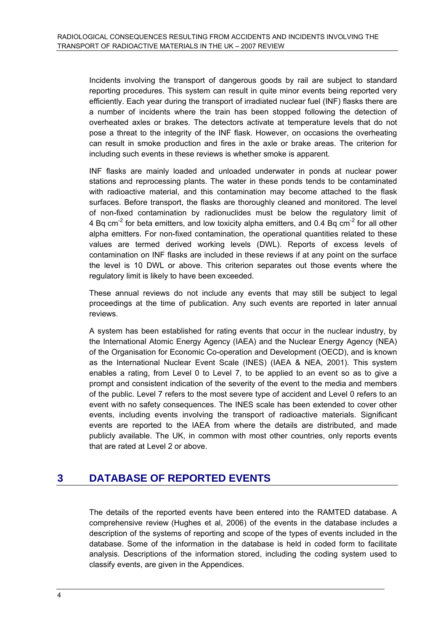Incidents involving the transport of dangerous goods by rail are subject to standard reporting procedures. This system can result in quite minor events being reported very efficiently. Each year during the transport of irradiated nuclear fuel (INF) flasks there are a number of incidents where the train has been stopped following the detection of overheated axles or brakes. The detectors activate at temperature levels that do not pose a threat to the integrity of the INF flask. However, on occasions the overheating can result in smoke production and fires in the axle or brake areas. The criterion for including such events in these reviews is whether smoke is apparent.

INF flasks are mainly loaded and unloaded underwater in ponds at nuclear power stations and reprocessing plants. The water in these ponds tends to be contaminated with radioactive material, and this contamination may become attached to the flask surfaces. Before transport, the flasks are thoroughly cleaned and monitored. The level of non-fixed contamination by radionuclides must be below the regulatory limit of 4 Bq cm<sup>-2</sup> for beta emitters, and low toxicity alpha emitters, and 0.4 Bq cm<sup>-2</sup> for all other alpha emitters. For non-fixed contamination, the operational quantities related to these values are termed derived working levels (DWL). Reports of excess levels of contamination on INF flasks are included in these reviews if at any point on the surface the level is 10 DWL or above. This criterion separates out those events where the regulatory limit is likely to have been exceeded.

These annual reviews do not include any events that may still be subject to legal proceedings at the time of publication. Any such events are reported in later annual reviews.

A system has been established for rating events that occur in the nuclear industry, by the International Atomic Energy Agency (IAEA) and the Nuclear Energy Agency (NEA) of the Organisation for Economic Co-operation and Development (OECD), and is known as the International Nuclear Event Scale (INES) (IAEA & NEA, 2001). This system enables a rating, from Level 0 to Level 7, to be applied to an event so as to give a prompt and consistent indication of the severity of the event to the media and members of the public. Level 7 refers to the most severe type of accident and Level 0 refers to an event with no safety consequences. The INES scale has been extended to cover other events, including events involving the transport of radioactive materials. Significant events are reported to the IAEA from where the details are distributed, and made publicly available. The UK, in common with most other countries, only reports events that are rated at Level 2 or above.

# **3 DATABASE OF REPORTED EVENTS**

The details of the reported events have been entered into the RAMTED database. A comprehensive review (Hughes et al, 2006) of the events in the database includes a description of the systems of reporting and scope of the types of events included in the database. Some of the information in the database is held in coded form to facilitate analysis. Descriptions of the information stored, including the coding system used to classify events, are given in the Appendices.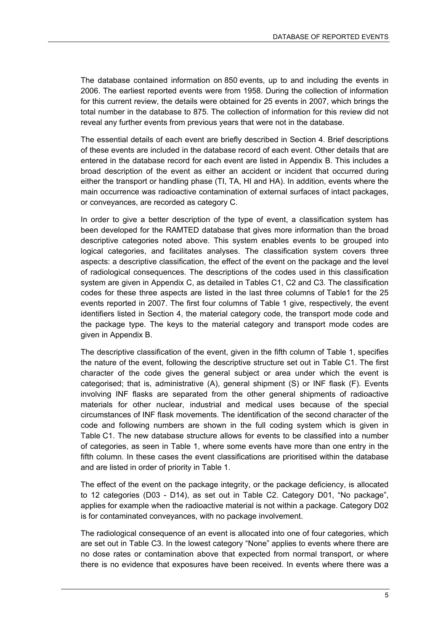The database contained information on 850 events, up to and including the events in 2006. The earliest reported events were from 1958. During the collection of information for this current review, the details were obtained for 25 events in 2007, which brings the total number in the database to 875. The collection of information for this review did not reveal any further events from previous years that were not in the database.

The essential details of each event are briefly described in Section 4. Brief descriptions of these events are included in the database record of each event. Other details that are entered in the database record for each event are listed in Appendix B. This includes a broad description of the event as either an accident or incident that occurred during either the transport or handling phase (TI, TA, HI and HA). In addition, events where the main occurrence was radioactive contamination of external surfaces of intact packages, or conveyances, are recorded as category C.

In order to give a better description of the type of event, a classification system has been developed for the RAMTED database that gives more information than the broad descriptive categories noted above. This system enables events to be grouped into logical categories, and facilitates analyses. The classification system covers three aspects: a descriptive classification, the effect of the event on the package and the level of radiological consequences. The descriptions of the codes used in this classification system are given in Appendix C, as detailed in Tables C1, C2 and C3. The classification codes for these three aspects are listed in the last three columns of Table1 for the 25 events reported in 2007. The first four columns of Table 1 give, respectively, the event identifiers listed in Section 4, the material category code, the transport mode code and the package type. The keys to the material category and transport mode codes are given in Appendix B.

The descriptive classification of the event, given in the fifth column of Table 1, specifies the nature of the event, following the descriptive structure set out in Table C1. The first character of the code gives the general subject or area under which the event is categorised; that is, administrative (A), general shipment (S) or INF flask (F). Events involving INF flasks are separated from the other general shipments of radioactive materials for other nuclear, industrial and medical uses because of the special circumstances of INF flask movements. The identification of the second character of the code and following numbers are shown in the full coding system which is given in Table C1. The new database structure allows for events to be classified into a number of categories, as seen in Table 1, where some events have more than one entry in the fifth column. In these cases the event classifications are prioritised within the database and are listed in order of priority in Table 1.

The effect of the event on the package integrity, or the package deficiency, is allocated to 12 categories (D03 - D14), as set out in Table C2. Category D01, "No package", applies for example when the radioactive material is not within a package. Category D02 is for contaminated conveyances, with no package involvement.

The radiological consequence of an event is allocated into one of four categories, which are set out in Table C3. In the lowest category "None" applies to events where there are no dose rates or contamination above that expected from normal transport, or where there is no evidence that exposures have been received. In events where there was a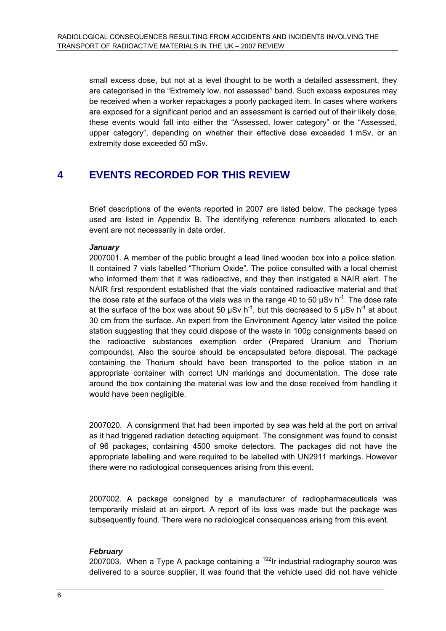small excess dose, but not at a level thought to be worth a detailed assessment, they are categorised in the "Extremely low, not assessed" band. Such excess exposures may be received when a worker repackages a poorly packaged item. In cases where workers are exposed for a significant period and an assessment is carried out of their likely dose, these events would fall into either the "Assessed, lower category" or the "Assessed, upper category", depending on whether their effective dose exceeded 1 mSv, or an extremity dose exceeded 50 mSv.

## **4 EVENTS RECORDED FOR THIS REVIEW**

Brief descriptions of the events reported in 2007 are listed below. The package types used are listed in Appendix B. The identifying reference numbers allocated to each event are not necessarily in date order.

#### *January*

2007001. A member of the public brought a lead lined wooden box into a police station. It contained 7 vials labelled "Thorium Oxide". The police consulted with a local chemist who informed them that it was radioactive, and they then instigated a NAIR alert. The NAIR first respondent established that the vials contained radioactive material and that the dose rate at the surface of the vials was in the range 40 to 50  $\mu$ Sv h<sup>-1</sup>. The dose rate at the surface of the box was about 50  $\mu$ Sv h<sup>-1</sup>, but this decreased to 5  $\mu$ Sv h<sup>-1</sup> at about 30 cm from the surface. An expert from the Environment Agency later visited the police station suggesting that they could dispose of the waste in 100g consignments based on the radioactive substances exemption order (Prepared Uranium and Thorium compounds). Also the source should be encapsulated before disposal. The package containing the Thorium should have been transported to the police station in an appropriate container with correct UN markings and documentation. The dose rate around the box containing the material was low and the dose received from handling it would have been negligible.

2007020. A consignment that had been imported by sea was held at the port on arrival as it had triggered radiation detecting equipment. The consignment was found to consist of 96 packages, containing 4500 smoke detectors. The packages did not have the appropriate labelling and were required to be labelled with UN2911 markings. However there were no radiological consequences arising from this event.

2007002. A package consigned by a manufacturer of radiopharmaceuticals was temporarily mislaid at an airport. A report of its loss was made but the package was subsequently found. There were no radiological consequences arising from this event.

#### *February*

2007003. When a Type A package containing a  $192$ Ir industrial radiography source was delivered to a source supplier, it was found that the vehicle used did not have vehicle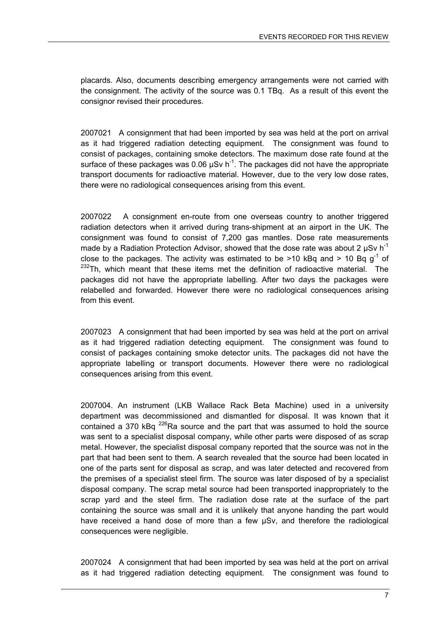placards. Also, documents describing emergency arrangements were not carried with the consignment. The activity of the source was 0.1 TBq. As a result of this event the consignor revised their procedures.

2007021 A consignment that had been imported by sea was held at the port on arrival as it had triggered radiation detecting equipment. The consignment was found to consist of packages, containing smoke detectors. The maximum dose rate found at the surface of these packages was 0.06  $\mu$ Sv h<sup>-1</sup>. The packages did not have the appropriate transport documents for radioactive material. However, due to the very low dose rates, there were no radiological consequences arising from this event.

2007022 A consignment en-route from one overseas country to another triggered radiation detectors when it arrived during trans-shipment at an airport in the UK. The consignment was found to consist of 7,200 gas mantles. Dose rate measurements made by a Radiation Protection Advisor, showed that the dose rate was about 2  $\mu$ Sv h<sup>-1</sup> close to the packages. The activity was estimated to be  $>10$  kBq and  $> 10$  Bq q<sup>-1</sup> of <sup>232</sup>Th. which meant that these items met the definition of radioactive material. The packages did not have the appropriate labelling. After two days the packages were relabelled and forwarded. However there were no radiological consequences arising from this event.

2007023 A consignment that had been imported by sea was held at the port on arrival as it had triggered radiation detecting equipment. The consignment was found to consist of packages containing smoke detector units. The packages did not have the appropriate labelling or transport documents. However there were no radiological consequences arising from this event.

2007004. An instrument (LKB Wallace Rack Beta Machine) used in a university department was decommissioned and dismantled for disposal. It was known that it contained a 370 kBq  $^{226}$ Ra source and the part that was assumed to hold the source was sent to a specialist disposal company, while other parts were disposed of as scrap metal. However, the specialist disposal company reported that the source was not in the part that had been sent to them. A search revealed that the source had been located in one of the parts sent for disposal as scrap, and was later detected and recovered from the premises of a specialist steel firm. The source was later disposed of by a specialist disposal company. The scrap metal source had been transported inappropriately to the scrap yard and the steel firm. The radiation dose rate at the surface of the part containing the source was small and it is unlikely that anyone handing the part would have received a hand dose of more than a few  $\mu Sv$ , and therefore the radiological consequences were negligible.

2007024 A consignment that had been imported by sea was held at the port on arrival as it had triggered radiation detecting equipment. The consignment was found to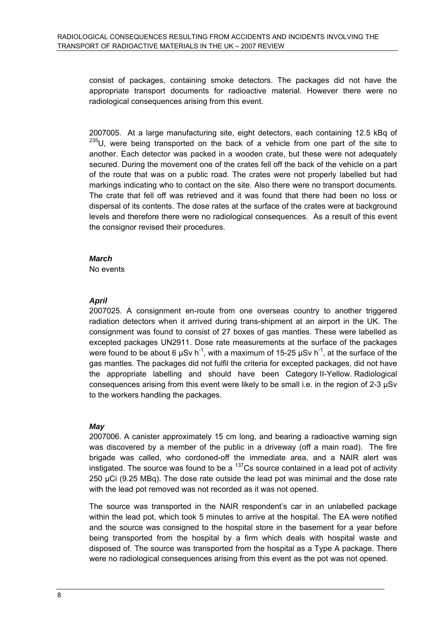consist of packages, containing smoke detectors. The packages did not have the appropriate transport documents for radioactive material. However there were no radiological consequences arising from this event.

2007005. At a large manufacturing site, eight detectors, each containing 12.5 kBq of  $235$ U, were being transported on the back of a vehicle from one part of the site to another. Each detector was packed in a wooden crate, but these were not adequately secured. During the movement one of the crates fell off the back of the vehicle on a part of the route that was on a public road. The crates were not properly labelled but had markings indicating who to contact on the site. Also there were no transport documents. The crate that fell off was retrieved and it was found that there had been no loss or dispersal of its contents. The dose rates at the surface of the crates were at background levels and therefore there were no radiological consequences. As a result of this event the consignor revised their procedures.

#### *March*

No events

#### *April*

2007025. A consignment en-route from one overseas country to another triggered radiation detectors when it arrived during trans-shipment at an airport in the UK. The consignment was found to consist of 27 boxes of gas mantles. These were labelled as excepted packages UN2911. Dose rate measurements at the surface of the packages were found to be about 6  $\mu$ Sv h<sup>-1</sup>, with a maximum of 15-25  $\mu$ Sv h<sup>-1</sup>, at the surface of the gas mantles. The packages did not fulfil the criteria for excepted packages, did not have the appropriate labelling and should have been Category II-Yellow. Radiological consequences arising from this event were likely to be small i.e. in the region of 2-3 µSv to the workers handling the packages.

#### *May*

2007006. A canister approximately 15 cm long, and bearing a radioactive warning sign was discovered by a member of the public in a driveway (off a main road). The fire brigade was called, who cordoned-off the immediate area, and a NAIR alert was instigated. The source was found to be a  $137$ Cs source contained in a lead pot of activity 250 μCi (9.25 MBq). The dose rate outside the lead pot was minimal and the dose rate with the lead pot removed was not recorded as it was not opened.

The source was transported in the NAIR respondent's car in an unlabelled package within the lead pot, which took 5 minutes to arrive at the hospital. The EA were notified and the source was consigned to the hospital store in the basement for a year before being transported from the hospital by a firm which deals with hospital waste and disposed of. The source was transported from the hospital as a Type A package. There were no radiological consequences arising from this event as the pot was not opened.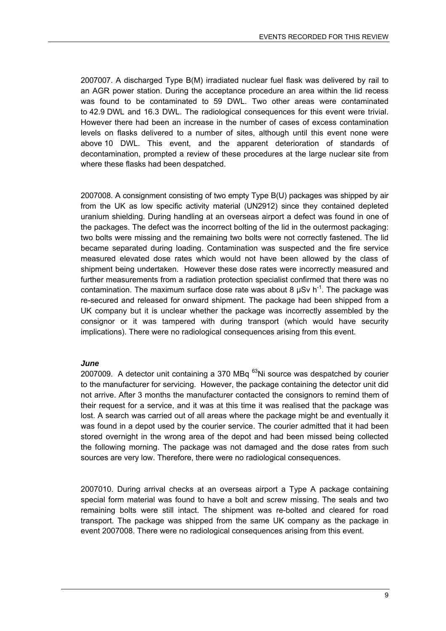2007007. A discharged Type B(M) irradiated nuclear fuel flask was delivered by rail to an AGR power station. During the acceptance procedure an area within the lid recess was found to be contaminated to 59 DWL. Two other areas were contaminated to 42.9 DWL and 16.3 DWL. The radiological consequences for this event were trivial. However there had been an increase in the number of cases of excess contamination levels on flasks delivered to a number of sites, although until this event none were above 10 DWL. This event, and the apparent deterioration of standards of decontamination, prompted a review of these procedures at the large nuclear site from where these flasks had been despatched.

2007008. A consignment consisting of two empty Type B(U) packages was shipped by air from the UK as low specific activity material (UN2912) since they contained depleted uranium shielding. During handling at an overseas airport a defect was found in one of the packages. The defect was the incorrect bolting of the lid in the outermost packaging: two bolts were missing and the remaining two bolts were not correctly fastened. The lid became separated during loading. Contamination was suspected and the fire service measured elevated dose rates which would not have been allowed by the class of shipment being undertaken. However these dose rates were incorrectly measured and further measurements from a radiation protection specialist confirmed that there was no contamination. The maximum surface dose rate was about 8  $\mu$ Sv h<sup>-1</sup>. The package was re-secured and released for onward shipment. The package had been shipped from a UK company but it is unclear whether the package was incorrectly assembled by the consignor or it was tampered with during transport (which would have security implications). There were no radiological consequences arising from this event.

#### *June*

2007009. A detector unit containing a 370 MB $q^{63}$ Ni source was despatched by courier to the manufacturer for servicing. However, the package containing the detector unit did not arrive. After 3 months the manufacturer contacted the consignors to remind them of their request for a service, and it was at this time it was realised that the package was lost. A search was carried out of all areas where the package might be and eventually it was found in a depot used by the courier service. The courier admitted that it had been stored overnight in the wrong area of the depot and had been missed being collected the following morning. The package was not damaged and the dose rates from such sources are very low. Therefore, there were no radiological consequences.

2007010. During arrival checks at an overseas airport a Type A package containing special form material was found to have a bolt and screw missing. The seals and two remaining bolts were still intact. The shipment was re-bolted and cleared for road transport. The package was shipped from the same UK company as the package in event 2007008. There were no radiological consequences arising from this event.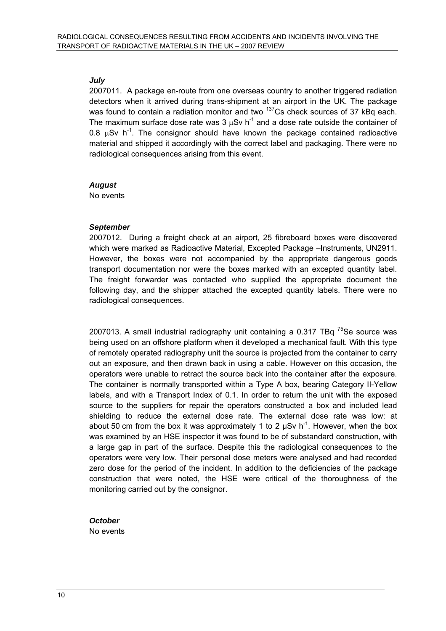#### *July*

2007011. A package en-route from one overseas country to another triggered radiation detectors when it arrived during trans-shipment at an airport in the UK. The package was found to contain a radiation monitor and two  $137$ Cs check sources of 37 kBq each. The maximum surface dose rate was 3  $\mu$ Sv h<sup>-1</sup> and a dose rate outside the container of 0.8  $\mu$ Sv h<sup>-1</sup>. The consignor should have known the package contained radioactive material and shipped it accordingly with the correct label and packaging. There were no radiological consequences arising from this event.

#### *August*

No events

#### *September*

2007012. During a freight check at an airport, 25 fibreboard boxes were discovered which were marked as Radioactive Material, Excepted Package –Instruments, UN2911. However, the boxes were not accompanied by the appropriate dangerous goods transport documentation nor were the boxes marked with an excepted quantity label. The freight forwarder was contacted who supplied the appropriate document the following day, and the shipper attached the excepted quantity labels. There were no radiological consequences.

2007013. A small industrial radiography unit containing a  $0.317$  TBq  $^{75}$ Se source was being used on an offshore platform when it developed a mechanical fault. With this type of remotely operated radiography unit the source is projected from the container to carry out an exposure, and then drawn back in using a cable. However on this occasion, the operators were unable to retract the source back into the container after the exposure. The container is normally transported within a Type A box, bearing Category II-Yellow labels, and with a Transport Index of 0.1. In order to return the unit with the exposed source to the suppliers for repair the operators constructed a box and included lead shielding to reduce the external dose rate. The external dose rate was low: at about 50 cm from the box it was approximately 1 to 2  $\mu$ Sv h<sup>-1</sup>. However, when the box was examined by an HSE inspector it was found to be of substandard construction, with a large gap in part of the surface. Despite this the radiological consequences to the operators were very low. Their personal dose meters were analysed and had recorded zero dose for the period of the incident. In addition to the deficiencies of the package construction that were noted, the HSE were critical of the thoroughness of the monitoring carried out by the consignor.

#### *October*  No events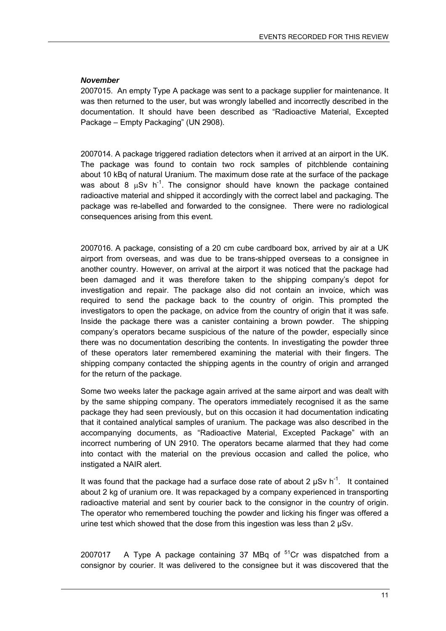#### *November*

2007015. An empty Type A package was sent to a package supplier for maintenance. It was then returned to the user, but was wrongly labelled and incorrectly described in the documentation. It should have been described as "Radioactive Material, Excepted Package – Empty Packaging" (UN 2908).

2007014. A package triggered radiation detectors when it arrived at an airport in the UK. The package was found to contain two rock samples of pitchblende containing about 10 kBq of natural Uranium. The maximum dose rate at the surface of the package was about 8  $\mu$ Sv h<sup>-1</sup>. The consignor should have known the package contained radioactive material and shipped it accordingly with the correct label and packaging. The package was re-labelled and forwarded to the consignee. There were no radiological consequences arising from this event.

2007016. A package, consisting of a 20 cm cube cardboard box, arrived by air at a UK airport from overseas, and was due to be trans-shipped overseas to a consignee in another country. However, on arrival at the airport it was noticed that the package had been damaged and it was therefore taken to the shipping company's depot for investigation and repair. The package also did not contain an invoice, which was required to send the package back to the country of origin. This prompted the investigators to open the package, on advice from the country of origin that it was safe. Inside the package there was a canister containing a brown powder. The shipping company's operators became suspicious of the nature of the powder, especially since there was no documentation describing the contents. In investigating the powder three of these operators later remembered examining the material with their fingers. The shipping company contacted the shipping agents in the country of origin and arranged for the return of the package.

Some two weeks later the package again arrived at the same airport and was dealt with by the same shipping company. The operators immediately recognised it as the same package they had seen previously, but on this occasion it had documentation indicating that it contained analytical samples of uranium. The package was also described in the accompanying documents, as "Radioactive Material, Excepted Package" with an incorrect numbering of UN 2910. The operators became alarmed that they had come into contact with the material on the previous occasion and called the police, who instigated a NAIR alert.

It was found that the package had a surface dose rate of about 2  $\mu$ Sv h<sup>-1</sup>. It contained about 2 kg of uranium ore. It was repackaged by a company experienced in transporting radioactive material and sent by courier back to the consignor in the country of origin. The operator who remembered touching the powder and licking his finger was offered a urine test which showed that the dose from this ingestion was less than 2 µSv.

2007017 A Type A package containing 37 MBq of  $5^1$ Cr was dispatched from a consignor by courier. It was delivered to the consignee but it was discovered that the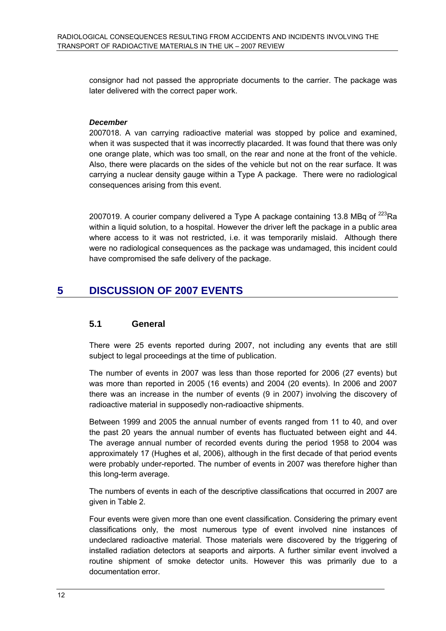consignor had not passed the appropriate documents to the carrier. The package was later delivered with the correct paper work.

#### *December*

2007018. A van carrying radioactive material was stopped by police and examined, when it was suspected that it was incorrectly placarded. It was found that there was only one orange plate, which was too small, on the rear and none at the front of the vehicle. Also, there were placards on the sides of the vehicle but not on the rear surface. It was carrying a nuclear density gauge within a Type A package. There were no radiological consequences arising from this event.

2007019. A courier company delivered a Type A package containing 13.8 MBq of  $^{223}$ Ra within a liquid solution, to a hospital. However the driver left the package in a public area where access to it was not restricted, i.e. it was temporarily mislaid. Although there were no radiological consequences as the package was undamaged, this incident could have compromised the safe delivery of the package.

## **5 DISCUSSION OF 2007 EVENTS**

#### **5.1 General**

There were 25 events reported during 2007, not including any events that are still subject to legal proceedings at the time of publication.

The number of events in 2007 was less than those reported for 2006 (27 events) but was more than reported in 2005 (16 events) and 2004 (20 events). In 2006 and 2007 there was an increase in the number of events (9 in 2007) involving the discovery of radioactive material in supposedly non-radioactive shipments.

Between 1999 and 2005 the annual number of events ranged from 11 to 40, and over the past 20 years the annual number of events has fluctuated between eight and 44. The average annual number of recorded events during the period 1958 to 2004 was approximately 17 (Hughes et al, 2006), although in the first decade of that period events were probably under-reported. The number of events in 2007 was therefore higher than this long-term average.

The numbers of events in each of the descriptive classifications that occurred in 2007 are given in Table 2.

Four events were given more than one event classification. Considering the primary event classifications only, the most numerous type of event involved nine instances of undeclared radioactive material. Those materials were discovered by the triggering of installed radiation detectors at seaports and airports. A further similar event involved a routine shipment of smoke detector units. However this was primarily due to a documentation error.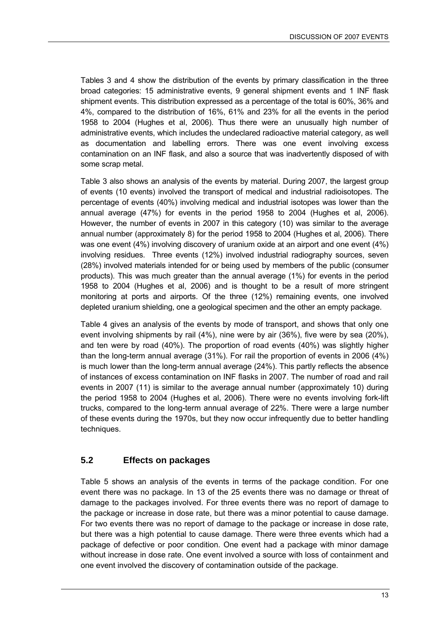Tables 3 and 4 show the distribution of the events by primary classification in the three broad categories: 15 administrative events, 9 general shipment events and 1 INF flask shipment events. This distribution expressed as a percentage of the total is 60%, 36% and 4%, compared to the distribution of 16%, 61% and 23% for all the events in the period 1958 to 2004 (Hughes et al, 2006). Thus there were an unusually high number of administrative events, which includes the undeclared radioactive material category, as well as documentation and labelling errors. There was one event involving excess contamination on an INF flask, and also a source that was inadvertently disposed of with some scrap metal.

Table 3 also shows an analysis of the events by material. During 2007, the largest group of events (10 events) involved the transport of medical and industrial radioisotopes. The percentage of events (40%) involving medical and industrial isotopes was lower than the annual average (47%) for events in the period 1958 to 2004 (Hughes et al, 2006). However, the number of events in 2007 in this category (10) was similar to the average annual number (approximately 8) for the period 1958 to 2004 (Hughes et al, 2006). There was one event (4%) involving discovery of uranium oxide at an airport and one event (4%) involving residues. Three events (12%) involved industrial radiography sources, seven (28%) involved materials intended for or being used by members of the public (consumer products). This was much greater than the annual average (1%) for events in the period 1958 to 2004 (Hughes et al, 2006) and is thought to be a result of more stringent monitoring at ports and airports. Of the three (12%) remaining events, one involved depleted uranium shielding, one a geological specimen and the other an empty package.

Table 4 gives an analysis of the events by mode of transport, and shows that only one event involving shipments by rail (4%), nine were by air (36%), five were by sea (20%), and ten were by road (40%). The proportion of road events (40%) was slightly higher than the long-term annual average (31%). For rail the proportion of events in 2006 (4%) is much lower than the long-term annual average (24%). This partly reflects the absence of instances of excess contamination on INF flasks in 2007. The number of road and rail events in 2007 (11) is similar to the average annual number (approximately 10) during the period 1958 to 2004 (Hughes et al, 2006). There were no events involving fork-lift trucks, compared to the long-term annual average of 22%. There were a large number of these events during the 1970s, but they now occur infrequently due to better handling techniques.

#### **5.2 Effects on packages**

Table 5 shows an analysis of the events in terms of the package condition. For one event there was no package. In 13 of the 25 events there was no damage or threat of damage to the packages involved. For three events there was no report of damage to the package or increase in dose rate, but there was a minor potential to cause damage. For two events there was no report of damage to the package or increase in dose rate, but there was a high potential to cause damage. There were three events which had a package of defective or poor condition. One event had a package with minor damage without increase in dose rate. One event involved a source with loss of containment and one event involved the discovery of contamination outside of the package.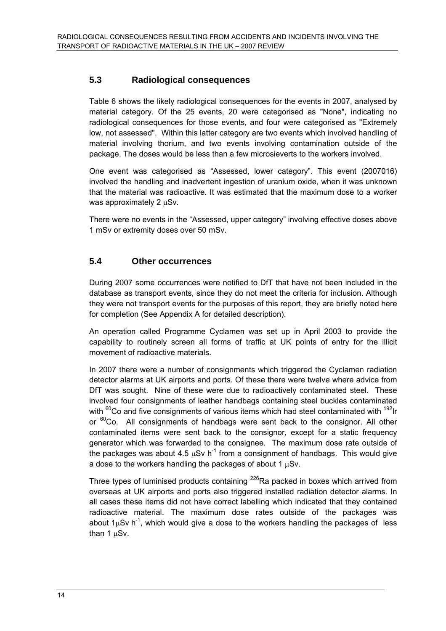## **5.3 Radiological consequences**

Table 6 shows the likely radiological consequences for the events in 2007, analysed by material category. Of the 25 events, 20 were categorised as "None", indicating no radiological consequences for those events, and four were categorised as "Extremely low, not assessed". Within this latter category are two events which involved handling of material involving thorium, and two events involving contamination outside of the package. The doses would be less than a few microsieverts to the workers involved.

One event was categorised as "Assessed, lower category". This event (2007016) involved the handling and inadvertent ingestion of uranium oxide, when it was unknown that the material was radioactive. It was estimated that the maximum dose to a worker was approximately 2 μSv.

There were no events in the "Assessed, upper category" involving effective doses above 1 mSv or extremity doses over 50 mSv.

## **5.4 Other occurrences**

During 2007 some occurrences were notified to DfT that have not been included in the database as transport events, since they do not meet the criteria for inclusion. Although they were not transport events for the purposes of this report, they are briefly noted here for completion (See Appendix A for detailed description).

An operation called Programme Cyclamen was set up in April 2003 to provide the capability to routinely screen all forms of traffic at UK points of entry for the illicit movement of radioactive materials.

In 2007 there were a number of consignments which triggered the Cyclamen radiation detector alarms at UK airports and ports. Of these there were twelve where advice from DfT was sought. Nine of these were due to radioactively contaminated steel. These involved four consignments of leather handbags containing steel buckles contaminated with <sup>60</sup>Co and five consignments of various items which had steel contaminated with <sup>192</sup>Ir or  ${}^{60}$ Co. All consignments of handbags were sent back to the consignor. All other contaminated items were sent back to the consignor, except for a static frequency generator which was forwarded to the consignee. The maximum dose rate outside of the packages was about 4.5  $\mu$ Sv h<sup>-1</sup> from a consignment of handbags. This would give a dose to the workers handling the packages of about 1 μSv.

Three types of luminised products containing  $^{226}$ Ra packed in boxes which arrived from overseas at UK airports and ports also triggered installed radiation detector alarms. In all cases these items did not have correct labelling which indicated that they contained radioactive material. The maximum dose rates outside of the packages was about  $1\mu Sv$  h<sup>-1</sup>, which would give a dose to the workers handling the packages of less than 1 μSv.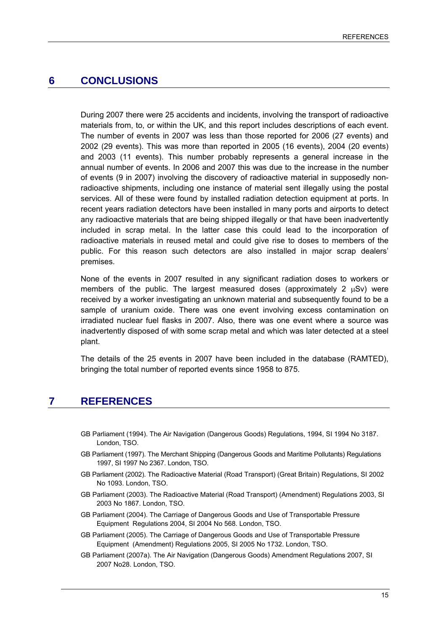## **6 CONCLUSIONS**

During 2007 there were 25 accidents and incidents, involving the transport of radioactive materials from, to, or within the UK, and this report includes descriptions of each event. The number of events in 2007 was less than those reported for 2006 (27 events) and 2002 (29 events). This was more than reported in 2005 (16 events), 2004 (20 events) and 2003 (11 events). This number probably represents a general increase in the annual number of events. In 2006 and 2007 this was due to the increase in the number of events (9 in 2007) involving the discovery of radioactive material in supposedly nonradioactive shipments, including one instance of material sent illegally using the postal services. All of these were found by installed radiation detection equipment at ports. In recent years radiation detectors have been installed in many ports and airports to detect any radioactive materials that are being shipped illegally or that have been inadvertently included in scrap metal. In the latter case this could lead to the incorporation of radioactive materials in reused metal and could give rise to doses to members of the public. For this reason such detectors are also installed in major scrap dealers' premises.

None of the events in 2007 resulted in any significant radiation doses to workers or members of the public. The largest measured doses (approximately 2 μSv) were received by a worker investigating an unknown material and subsequently found to be a sample of uranium oxide. There was one event involving excess contamination on irradiated nuclear fuel flasks in 2007. Also, there was one event where a source was inadvertently disposed of with some scrap metal and which was later detected at a steel plant.

The details of the 25 events in 2007 have been included in the database (RAMTED), bringing the total number of reported events since 1958 to 875.

## **7 REFERENCES**

- GB Parliament (1994). The Air Navigation (Dangerous Goods) Regulations, 1994, SI 1994 No 3187. London, TSO.
- GB Parliament (1997). The Merchant Shipping (Dangerous Goods and Maritime Pollutants) Regulations 1997, SI 1997 No 2367. London, TSO.
- GB Parliament (2002). The Radioactive Material (Road Transport) (Great Britain) Regulations, SI 2002 No 1093. London, TSO.
- GB Parliament (2003). The Radioactive Material (Road Transport) (Amendment) Regulations 2003, SI 2003 No 1867. London, TSO.
- GB Parliament (2004). The Carriage of Dangerous Goods and Use of Transportable Pressure Equipment Regulations 2004, SI 2004 No 568. London, TSO.
- GB Parliament (2005). The Carriage of Dangerous Goods and Use of Transportable Pressure Equipment (Amendment) Regulations 2005, SI 2005 No 1732. London, TSO.
- GB Parliament (2007a). The Air Navigation (Dangerous Goods) Amendment Regulations 2007, SI 2007 No28. London, TSO.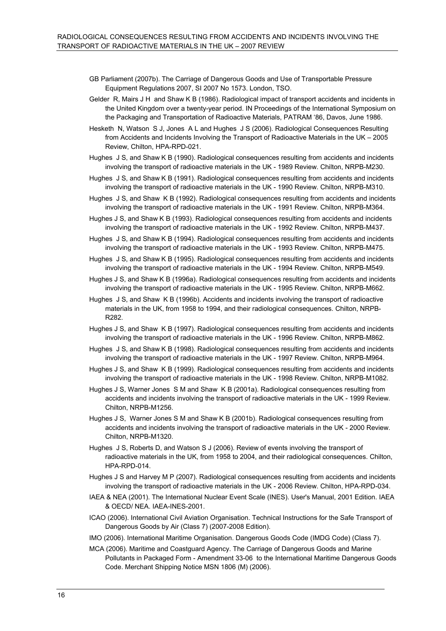- GB Parliament (2007b). The Carriage of Dangerous Goods and Use of Transportable Pressure Equipment Regulations 2007, SI 2007 No 1573. London, TSO.
- Gelder R, Mairs J H and Shaw K B (1986). Radiological impact of transport accidents and incidents in the United Kingdom over a twenty-year period. IN Proceedings of the International Symposium on the Packaging and Transportation of Radioactive Materials, PATRAM '86, Davos, June 1986.
- Hesketh N, Watson S J, Jones A L and Hughes J S (2006). Radiological Consequences Resulting from Accidents and Incidents Involving the Transport of Radioactive Materials in the UK – 2005 Review, Chilton, HPA-RPD-021.
- Hughes J S, and Shaw K B (1990). Radiological consequences resulting from accidents and incidents involving the transport of radioactive materials in the UK - 1989 Review. Chilton, NRPB-M230.
- Hughes J S, and Shaw K B (1991). Radiological consequences resulting from accidents and incidents involving the transport of radioactive materials in the UK - 1990 Review. Chilton, NRPB-M310.
- Hughes J S, and Shaw K B (1992). Radiological consequences resulting from accidents and incidents involving the transport of radioactive materials in the UK - 1991 Review. Chilton, NRPB-M364.
- Hughes J S, and Shaw K B (1993). Radiological consequences resulting from accidents and incidents involving the transport of radioactive materials in the UK - 1992 Review. Chilton, NRPB-M437.
- Hughes J S, and Shaw K B (1994). Radiological consequences resulting from accidents and incidents involving the transport of radioactive materials in the UK - 1993 Review. Chilton, NRPB-M475.
- Hughes J S, and Shaw K B (1995). Radiological consequences resulting from accidents and incidents involving the transport of radioactive materials in the UK - 1994 Review. Chilton, NRPB-M549.
- Hughes J S, and Shaw K B (1996a). Radiological consequences resulting from accidents and incidents involving the transport of radioactive materials in the UK - 1995 Review. Chilton, NRPB-M662.
- Hughes J S, and Shaw K B (1996b). Accidents and incidents involving the transport of radioactive materials in the UK, from 1958 to 1994, and their radiological consequences. Chilton, NRPB-R282.
- Hughes J S, and Shaw K B (1997). Radiological consequences resulting from accidents and incidents involving the transport of radioactive materials in the UK - 1996 Review. Chilton, NRPB-M862.
- Hughes J S, and Shaw K B (1998). Radiological consequences resulting from accidents and incidents involving the transport of radioactive materials in the UK - 1997 Review. Chilton, NRPB-M964.
- Hughes J S, and Shaw K B (1999). Radiological consequences resulting from accidents and incidents involving the transport of radioactive materials in the UK - 1998 Review. Chilton, NRPB-M1082.
- Hughes J S, Warner Jones S M and Shaw K B (2001a). Radiological consequences resulting from accidents and incidents involving the transport of radioactive materials in the UK - 1999 Review. Chilton, NRPB-M1256.
- Hughes J S, Warner Jones S M and Shaw K B (2001b). Radiological consequences resulting from accidents and incidents involving the transport of radioactive materials in the UK - 2000 Review. Chilton, NRPB-M1320.
- Hughes J S, Roberts D, and Watson S J (2006). Review of events involving the transport of radioactive materials in the UK, from 1958 to 2004, and their radiological consequences. Chilton, HPA-RPD-014.
- Hughes J S and Harvey M P (2007). Radiological consequences resulting from accidents and incidents involving the transport of radioactive materials in the UK - 2006 Review. Chilton, HPA-RPD-034.
- IAEA & NEA (2001). The International Nuclear Event Scale (INES). User's Manual, 2001 Edition. IAEA & OECD/ NEA. IAEA-INES-2001.
- ICAO (2006). International Civil Aviation Organisation. Technical Instructions for the Safe Transport of Dangerous Goods by Air (Class 7) (2007-2008 Edition).
- IMO (2006). International Maritime Organisation. Dangerous Goods Code (IMDG Code) (Class 7).
- MCA (2006). Maritime and Coastguard Agency. The Carriage of Dangerous Goods and Marine Pollutants in Packaged Form - Amendment 33-06 to the International Maritime Dangerous Goods Code. Merchant Shipping Notice MSN 1806 (M) (2006).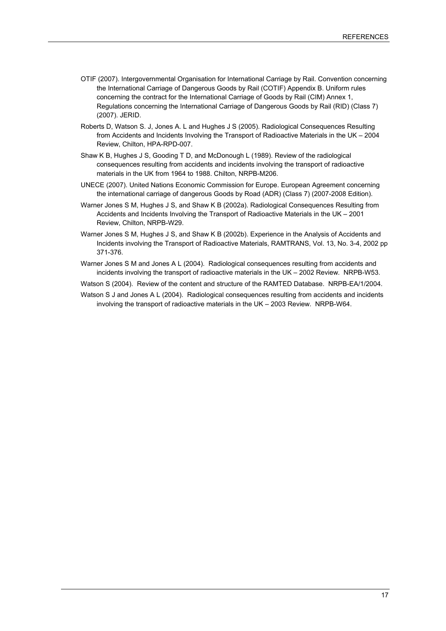- OTIF (2007). Intergovernmental Organisation for International Carriage by Rail. Convention concerning the International Carriage of Dangerous Goods by Rail (COTIF) Appendix B. Uniform rules concerning the contract for the International Carriage of Goods by Rail (CIM) Annex 1, Regulations concerning the International Carriage of Dangerous Goods by Rail (RID) (Class 7) (2007). JERID.
- Roberts D, Watson S. J, Jones A. L and Hughes J S (2005). Radiological Consequences Resulting from Accidents and Incidents Involving the Transport of Radioactive Materials in the UK – 2004 Review, Chilton, HPA-RPD-007.
- Shaw K B, Hughes J S, Gooding T D, and McDonough L (1989). Review of the radiological consequences resulting from accidents and incidents involving the transport of radioactive materials in the UK from 1964 to 1988. Chilton, NRPB-M206.
- UNECE (2007). United Nations Economic Commission for Europe. European Agreement concerning the international carriage of dangerous Goods by Road (ADR) (Class 7) (2007-2008 Edition).
- Warner Jones S M, Hughes J S, and Shaw K B (2002a). Radiological Consequences Resulting from Accidents and Incidents Involving the Transport of Radioactive Materials in the UK – 2001 Review, Chilton, NRPB-W29.
- Warner Jones S M, Hughes J S, and Shaw K B (2002b). Experience in the Analysis of Accidents and Incidents involving the Transport of Radioactive Materials, RAMTRANS, Vol. 13, No. 3-4, 2002 pp 371-376.
- Warner Jones S M and Jones A L (2004). Radiological consequences resulting from accidents and incidents involving the transport of radioactive materials in the UK – 2002 Review. NRPB-W53.
- Watson S (2004). Review of the content and structure of the RAMTED Database. NRPB-EA/1/2004.
- Watson S J and Jones A L (2004). Radiological consequences resulting from accidents and incidents involving the transport of radioactive materials in the UK – 2003 Review. NRPB-W64.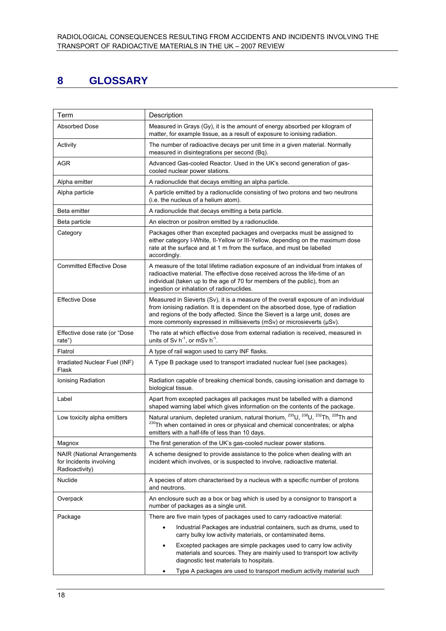# **8 GLOSSARY**

| Term                                                                             | Description                                                                                                                                                                                                                                                                                                                         |  |  |  |  |  |
|----------------------------------------------------------------------------------|-------------------------------------------------------------------------------------------------------------------------------------------------------------------------------------------------------------------------------------------------------------------------------------------------------------------------------------|--|--|--|--|--|
| <b>Absorbed Dose</b>                                                             | Measured in Grays (Gy), it is the amount of energy absorbed per kilogram of<br>matter, for example tissue, as a result of exposure to ionising radiation.                                                                                                                                                                           |  |  |  |  |  |
| Activity                                                                         | The number of radioactive decays per unit time in a given material. Normally<br>measured in disintegrations per second (Bq).                                                                                                                                                                                                        |  |  |  |  |  |
| AGR                                                                              | Advanced Gas-cooled Reactor. Used in the UK's second generation of gas-<br>cooled nuclear power stations.                                                                                                                                                                                                                           |  |  |  |  |  |
| Alpha emitter                                                                    | A radionuclide that decays emitting an alpha particle.                                                                                                                                                                                                                                                                              |  |  |  |  |  |
| Alpha particle                                                                   | A particle emitted by a radionuclide consisting of two protons and two neutrons<br>(i.e. the nucleus of a helium atom).                                                                                                                                                                                                             |  |  |  |  |  |
| Beta emitter                                                                     | A radionuclide that decays emitting a beta particle.                                                                                                                                                                                                                                                                                |  |  |  |  |  |
| Beta particle                                                                    | An electron or positron emitted by a radionuclide.                                                                                                                                                                                                                                                                                  |  |  |  |  |  |
| Category                                                                         | Packages other than excepted packages and overpacks must be assigned to<br>either category I-White, II-Yellow or III-Yellow, depending on the maximum dose<br>rate at the surface and at 1 m from the surface, and must be labelled<br>accordingly.                                                                                 |  |  |  |  |  |
| <b>Committed Effective Dose</b>                                                  | A measure of the total lifetime radiation exposure of an individual from intakes of<br>radioactive material. The effective dose received across the life-time of an<br>individual (taken up to the age of 70 for members of the public), from an<br>ingestion or inhalation of radionuclides.                                       |  |  |  |  |  |
| <b>Effective Dose</b>                                                            | Measured in Sieverts (Sv), it is a measure of the overall exposure of an individual<br>from ionising radiation. It is dependent on the absorbed dose, type of radiation<br>and regions of the body affected. Since the Sievert is a large unit, doses are<br>more commonly expressed in millisieverts (mSv) or microsieverts (µSv). |  |  |  |  |  |
| Effective dose rate (or "Dose<br>rate")                                          | The rate at which effective dose from external radiation is received, measured in<br>units of Sv $h^{-1}$ , or mSv $h^{-1}$ .                                                                                                                                                                                                       |  |  |  |  |  |
| Flatrol                                                                          | A type of rail wagon used to carry INF flasks.                                                                                                                                                                                                                                                                                      |  |  |  |  |  |
| Irradiated Nuclear Fuel (INF)<br>Flask                                           | A Type B package used to transport irradiated nuclear fuel (see packages).                                                                                                                                                                                                                                                          |  |  |  |  |  |
| Ionising Radiation                                                               | Radiation capable of breaking chemical bonds, causing ionisation and damage to<br>biological tissue.                                                                                                                                                                                                                                |  |  |  |  |  |
| Label                                                                            | Apart from excepted packages all packages must be labelled with a diamond<br>shaped warning label which gives information on the contents of the package.                                                                                                                                                                           |  |  |  |  |  |
| Low toxicity alpha emitters                                                      | Natural uranium, depleted uranium, natural thorium, <sup>235</sup> U, <sup>238</sup> U, <sup>232</sup> Th, <sup>228</sup> Th and<br><sup>230</sup> Th when contained in ores or physical and chemical concentrates; or alpha<br>emitters with a half-life of less than 10 days.                                                     |  |  |  |  |  |
| Magnox                                                                           | The first generation of the UK's gas-cooled nuclear power stations.                                                                                                                                                                                                                                                                 |  |  |  |  |  |
| <b>NAIR (National Arrangements)</b><br>for Incidents involving<br>Radioactivity) | A scheme designed to provide assistance to the police when dealing with an<br>incident which involves, or is suspected to involve, radioactive material.                                                                                                                                                                            |  |  |  |  |  |
| Nuclide                                                                          | A species of atom characterised by a nucleus with a specific number of protons<br>and neutrons.                                                                                                                                                                                                                                     |  |  |  |  |  |
| Overpack                                                                         | An enclosure such as a box or bag which is used by a consignor to transport a<br>number of packages as a single unit.                                                                                                                                                                                                               |  |  |  |  |  |
| Package                                                                          | There are five main types of packages used to carry radioactive material:                                                                                                                                                                                                                                                           |  |  |  |  |  |
|                                                                                  | Industrial Packages are industrial containers, such as drums, used to<br>$\bullet$<br>carry bulky low activity materials, or contaminated items.                                                                                                                                                                                    |  |  |  |  |  |
|                                                                                  | Excepted packages are simple packages used to carry low activity<br>$\bullet$<br>materials and sources. They are mainly used to transport low activity<br>diagnostic test materials to hospitals.                                                                                                                                   |  |  |  |  |  |
|                                                                                  | Type A packages are used to transport medium activity material such                                                                                                                                                                                                                                                                 |  |  |  |  |  |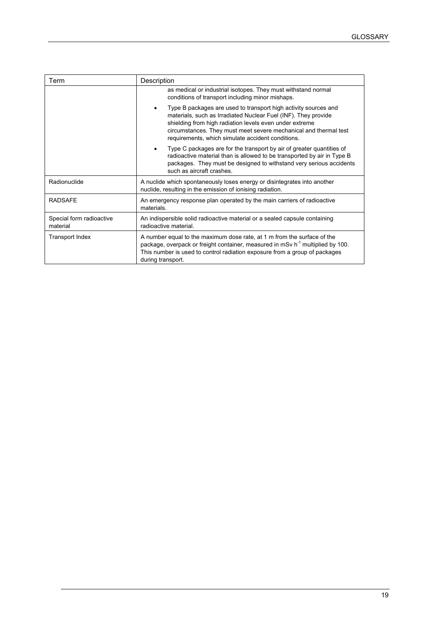| Term                                 | Description                                                                                                                                                                                                                                                                                                                        |  |  |  |  |
|--------------------------------------|------------------------------------------------------------------------------------------------------------------------------------------------------------------------------------------------------------------------------------------------------------------------------------------------------------------------------------|--|--|--|--|
|                                      | as medical or industrial isotopes. They must withstand normal<br>conditions of transport including minor mishaps.                                                                                                                                                                                                                  |  |  |  |  |
|                                      | Type B packages are used to transport high activity sources and<br>$\bullet$<br>materials, such as Irradiated Nuclear Fuel (INF). They provide<br>shielding from high radiation levels even under extreme<br>circumstances. They must meet severe mechanical and thermal test<br>requirements, which simulate accident conditions. |  |  |  |  |
|                                      | Type C packages are for the transport by air of greater quantities of<br>٠<br>radioactive material than is allowed to be transported by air in Type B<br>packages. They must be designed to withstand very serious accidents<br>such as aircraft crashes.                                                                          |  |  |  |  |
| Radionuclide                         | A nuclide which spontaneously loses energy or disintegrates into another<br>nuclide, resulting in the emission of ionising radiation.                                                                                                                                                                                              |  |  |  |  |
| <b>RADSAFE</b>                       | An emergency response plan operated by the main carriers of radioactive<br>materials.                                                                                                                                                                                                                                              |  |  |  |  |
| Special form radioactive<br>material | An indispersible solid radioactive material or a sealed capsule containing<br>radioactive material.                                                                                                                                                                                                                                |  |  |  |  |
| Transport Index                      | A number equal to the maximum dose rate, at 1 m from the surface of the<br>package, overpack or freight container, measured in mSv h <sup>-1</sup> multiplied by 100.<br>This number is used to control radiation exposure from a group of packages<br>during transport.                                                           |  |  |  |  |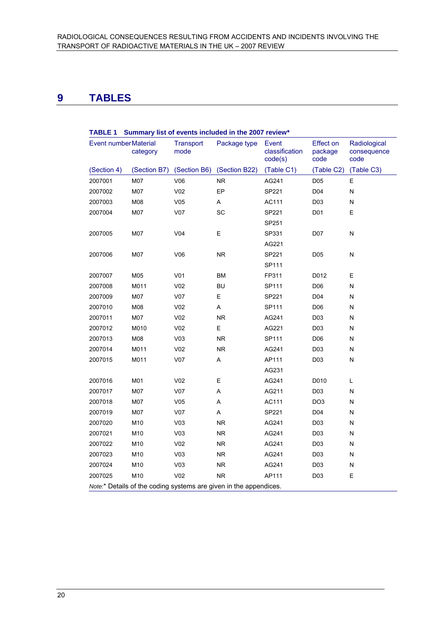# **9 TABLES**

| <b>IABLE</b> 1<br>Summary list of events included in the 2007 review |              |                          |                |                                    |                                     |                                     |  |  |
|----------------------------------------------------------------------|--------------|--------------------------|----------------|------------------------------------|-------------------------------------|-------------------------------------|--|--|
| Event number Material                                                | category     | <b>Transport</b><br>mode | Package type   | Event<br>classification<br>code(s) | <b>Effect on</b><br>package<br>code | Radiological<br>consequence<br>code |  |  |
| (Section 4)                                                          | (Section B7) | (Section B6)             | (Section B22)  | (Table C1)                         | (Table C2)                          | (Table C3)                          |  |  |
| 2007001                                                              | M07          | V06                      | <b>NR</b>      | AG241                              | D <sub>05</sub>                     | Е                                   |  |  |
| 2007002                                                              | M07          | V <sub>02</sub>          | EP             | SP221                              | D04                                 | ${\sf N}$                           |  |  |
| 2007003                                                              | M08          | V05                      | Α              | AC111                              | D <sub>03</sub>                     | N                                   |  |  |
| 2007004                                                              | M07          | V07                      | <b>SC</b>      | SP221                              | D <sub>01</sub>                     | E                                   |  |  |
|                                                                      |              |                          |                | SP251                              |                                     |                                     |  |  |
| 2007005                                                              | M07          | V <sub>04</sub>          | E              | SP331                              | D07                                 | N                                   |  |  |
|                                                                      |              |                          |                | AG221                              |                                     |                                     |  |  |
| 2007006                                                              | M07          | V06                      | <b>NR</b>      | SP221                              | D <sub>05</sub>                     | N                                   |  |  |
|                                                                      |              |                          |                | SP111                              |                                     |                                     |  |  |
| 2007007                                                              | M05          | V <sub>01</sub>          | BM             | FP311                              | D012                                | E                                   |  |  |
| 2007008                                                              | M011         | V <sub>02</sub>          | <b>BU</b>      | SP111                              | D <sub>06</sub>                     | N                                   |  |  |
| 2007009                                                              | M07          | V07                      | E              | SP221                              | D04                                 | N                                   |  |  |
| 2007010                                                              | M08          | V <sub>02</sub>          | Α              | SP111                              | D06                                 | N                                   |  |  |
| 2007011                                                              | M07          | V <sub>02</sub>          | <b>NR</b>      | AG241                              | D <sub>03</sub>                     | N                                   |  |  |
| 2007012                                                              | M010         | V <sub>02</sub>          | E              | AG221                              | D <sub>03</sub>                     | N                                   |  |  |
| 2007013                                                              | M08          | V <sub>03</sub>          | <b>NR</b>      | SP111                              | D <sub>06</sub>                     | N                                   |  |  |
| 2007014                                                              | M011         | V <sub>02</sub>          | <b>NR</b>      | AG241                              | D <sub>03</sub>                     | N                                   |  |  |
| 2007015                                                              | M011         | V <sub>07</sub>          | Α              | AP111                              | D03                                 | ${\sf N}$                           |  |  |
|                                                                      |              |                          |                | AG231                              |                                     |                                     |  |  |
| 2007016                                                              | M01          | V <sub>02</sub>          | E              | AG241                              | D010                                | L                                   |  |  |
| 2007017                                                              | M07          | V <sub>07</sub>          | A              | AG211                              | D <sub>03</sub>                     | N                                   |  |  |
| 2007018                                                              | M07          | V05                      | Α              | AC111                              | DO <sub>3</sub>                     | N                                   |  |  |
| 2007019                                                              | M07          | V07                      | Α              | SP221                              | D04                                 | N                                   |  |  |
| 2007020                                                              | M10          | V <sub>03</sub>          | <b>NR</b>      | AG241                              | D <sub>03</sub>                     | N                                   |  |  |
| 2007021                                                              | M10          | V <sub>03</sub>          | <b>NR</b>      | AG241                              | D <sub>03</sub>                     | N                                   |  |  |
| 2007022                                                              | M10          | V <sub>02</sub>          | N <sub>R</sub> | AG241                              | D <sub>03</sub>                     | N                                   |  |  |
| 2007023                                                              | M10          | V <sub>03</sub>          | <b>NR</b>      | AG241                              | D03                                 | N                                   |  |  |
| 2007024                                                              | M10          | V <sub>03</sub>          | <b>NR</b>      | AG241                              | D <sub>03</sub>                     | ${\sf N}$                           |  |  |
| 2007025                                                              | M10          | V <sub>02</sub>          | <b>NR</b>      | AP111                              | D03                                 | E                                   |  |  |
| Note.* Details of the coding systems are given in the appendices.    |              |                          |                |                                    |                                     |                                     |  |  |

## **TABLE 1 Summary list of events included in the 2007 review\***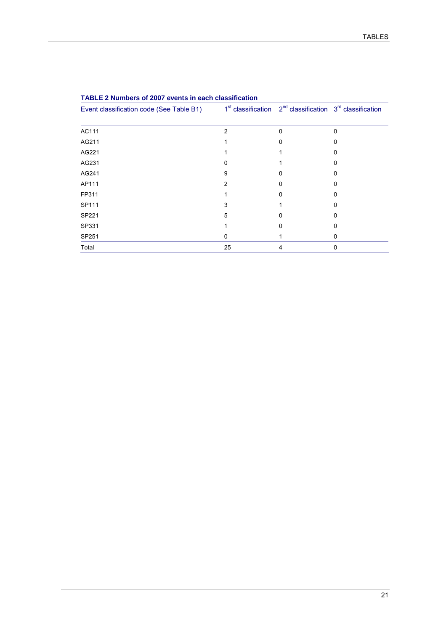| Event classification code (See Table B1) |    | $1st$ classification $2nd$ classification $3rd$ classification |   |
|------------------------------------------|----|----------------------------------------------------------------|---|
|                                          |    |                                                                |   |
| AC111                                    | 2  | 0                                                              | 0 |
| AG211                                    |    |                                                                |   |
| AG221                                    |    |                                                                |   |
| AG231                                    |    |                                                                |   |
| AG241                                    | 9  |                                                                |   |
| AP111                                    | 2  | 0                                                              | o |
| FP311                                    |    |                                                                |   |
| SP111                                    | 3  |                                                                |   |
| SP221                                    | 5  | n                                                              |   |
| SP331                                    |    | 0                                                              |   |
| SP251                                    | 0  |                                                                | 0 |
| Total                                    | 25 | 4                                                              | 0 |

#### **TABLE 2 Numbers of 2007 events in each classification**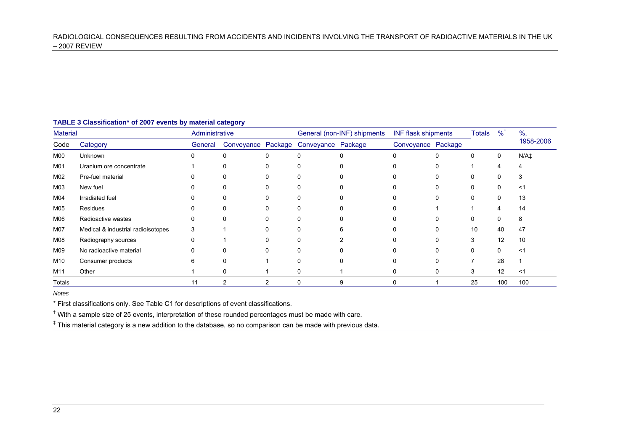| TABLE 3 Classification* of 2007 events by material category |  |  |  |  |
|-------------------------------------------------------------|--|--|--|--|
|-------------------------------------------------------------|--|--|--|--|

| <b>Material</b> |                                    |         | Administrative |          | General (non-INF) shipments           |  | <b>INF flask shipments</b> |   | <b>Totals</b> | %            | $\%$ ,    |
|-----------------|------------------------------------|---------|----------------|----------|---------------------------------------|--|----------------------------|---|---------------|--------------|-----------|
| Code            | Category                           | General |                |          | Conveyance Package Conveyance Package |  | Conveyance Package         |   |               |              | 1958-2006 |
| M00             | Unknown                            | 0       | $\Omega$       | $\Omega$ |                                       |  | $\Omega$                   |   |               | $\mathbf{0}$ | $N/A+$    |
| M01             | Uranium ore concentrate            |         | 0              | 0        |                                       |  |                            |   |               |              |           |
| M02             | Pre-fuel material                  |         | 0              |          |                                       |  |                            |   |               |              |           |
| M03             | New fuel                           | 0       | 0              | 0        |                                       |  |                            |   |               | 0            | ≺1        |
| M04             | Irradiated fuel                    |         | 0              | $\Omega$ |                                       |  |                            |   |               |              | 13        |
| M05             | Residues                           |         | 0              |          |                                       |  |                            |   |               |              | 14        |
| M06             | Radioactive wastes                 |         |                |          |                                       |  |                            |   |               |              |           |
| M07             | Medical & industrial radioisotopes | 3       |                |          |                                       |  |                            |   | 10            | 40           | 47        |
| M08             | Radiography sources                | 0       |                |          |                                       |  |                            |   |               | 12           | 10        |
| M09             | No radioactive material            | 0       |                | 0        |                                       |  |                            |   |               |              | $\leq$ 1  |
| M10             | Consumer products                  | 6       | 0              |          |                                       |  |                            |   |               | 28           |           |
| M11             | Other                              |         | 0              |          |                                       |  | 0                          | 0 | 3             | 12           | <1        |
| Totals          |                                    | 11      | 2              |          |                                       |  | 0                          |   | 25            | 100          | 100       |

*Notes* 

\* First classifications only. See Table C1 for descriptions of event classifications.

 $<sup>†</sup>$  With a sample size of 25 events, interpretation of these rounded percentages must be made with care.</sup>

‡ This material category is a new addition to the database, so no comparison can be made with previous data.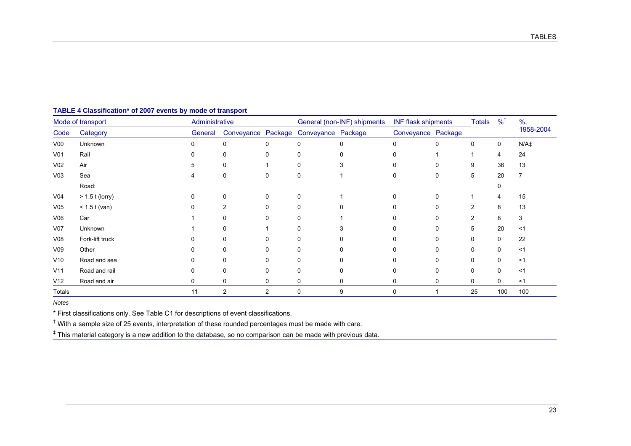| Mode of transport |                   | Administrative |                | General (non-INF) shipments |                                       | <b>INF flask shipments</b> |                    | <b>Totals</b> | $\frac{9}{6}$ <sup>+</sup> | $\%$ , |           |
|-------------------|-------------------|----------------|----------------|-----------------------------|---------------------------------------|----------------------------|--------------------|---------------|----------------------------|--------|-----------|
| Code              | Category          | General        |                |                             | Conveyance Package Conveyance Package |                            | Conveyance Package |               |                            |        | 1958-2004 |
| V <sub>00</sub>   | Unknown           | 0              | 0              | 0                           | 0                                     |                            | $\Omega$           |               | 0                          | 0      | $N/A+$    |
| V <sub>01</sub>   | Rail              |                | 0              | 0                           | 0                                     |                            |                    |               |                            | 4      | 24        |
| V <sub>02</sub>   | Air               | 5              | 0              |                             | 0                                     |                            |                    | 0             | 9                          | 36     | 13        |
| V <sub>03</sub>   | Sea               |                | 0              | 0                           | 0                                     |                            | O                  |               | 5                          | 20     |           |
|                   | Road:             |                |                |                             |                                       |                            |                    |               |                            | 0      |           |
| V <sub>04</sub>   | $> 1.5$ t (lorry) | 0              | 0              | 0                           | 0                                     |                            | ∩                  |               |                            | 4      | 15        |
| V <sub>05</sub>   | $< 1.5$ t (van)   |                | 2              | 0                           | 0                                     |                            |                    |               | 2                          | 8      | 13        |
| V06               | Car               |                | 0              | 0                           | 0                                     |                            |                    |               | 2                          | 8      | 3         |
| V07               | Unknown           |                | 0              |                             | 0                                     |                            |                    |               | 5                          | 20     | $<$ 1     |
| V <sub>08</sub>   | Fork-lift truck   |                | 0              | O                           | 0                                     |                            |                    |               | O                          | 0      | 22        |
| V <sub>09</sub>   | Other             |                | 0              |                             | 0                                     |                            |                    |               | 0                          | 0      | $<$ 1     |
| V10               | Road and sea      |                | 0              | 0                           | 0                                     |                            |                    |               |                            | 0      | $<$ 1     |
| V11               | Road and rail     |                | 0              | 0                           | 0                                     |                            |                    |               | $\Omega$                   | 0      | $<$ 1     |
| V12               | Road and air      | $\Omega$       | 0              | 0                           | 0                                     | $\mathbf{0}$               | $\Omega$           | 0             | 0                          | 0      | $<$ 1     |
| Totals            |                   | 11             | $\overline{2}$ | 2                           | $\mathbf 0$                           | 9                          | $\Omega$           |               | 25                         | 100    | 100       |

#### **TABLE 4 Classification\* of 2007 events by mode of transport**

*Notes* 

\* First classifications only. See Table C1 for descriptions of event classifications.

 $<sup>†</sup>$  With a sample size of 25 events, interpretation of these rounded percentages must be made with care.</sup>

‡ This material category is a new addition to the database, so no comparison can be made with previous data.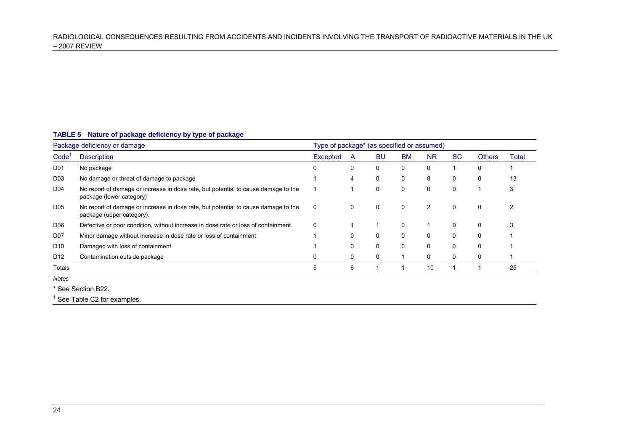#### **TABLE 5 Nature of package deficiency by type of package**

| Package deficiency or damage |                                                                                                                 | Type of package* (as specified or assumed) |   |           |             |           |     |               |       |
|------------------------------|-----------------------------------------------------------------------------------------------------------------|--------------------------------------------|---|-----------|-------------|-----------|-----|---------------|-------|
| Code <sup>1</sup>            | <b>Description</b>                                                                                              | Excepted                                   | A | <b>BU</b> | <b>BM</b>   | <b>NR</b> | SC. | <b>Others</b> | Total |
| D <sub>01</sub>              | No package                                                                                                      | 0                                          | 0 | 0         | $\mathbf 0$ | 0         |     | 0             |       |
| D <sub>03</sub>              | No damage or threat of damage to package                                                                        |                                            | 4 | 0         | 0           | 8         | 0   | 0             | 13    |
| D04                          | No report of damage or increase in dose rate, but potential to cause damage to the<br>package (lower category)  |                                            |   | 0         | 0           | 0         | 0   |               | 3     |
| D <sub>05</sub>              | No report of damage or increase in dose rate, but potential to cause damage to the<br>package (upper category). | 0                                          | 0 | 0         | 0           | 2         | 0   | 0             |       |
| D <sub>06</sub>              | Defective or poor condition, without increase in dose rate or loss of containment                               | 0                                          |   |           | 0           |           | 0   | 0             | 3     |
| D07                          | Minor damage without increase in dose rate or loss of containment                                               |                                            | 0 | 0         | 0           | 0         | 0   | 0             |       |
| D <sub>10</sub>              | Damaged with loss of containment                                                                                |                                            | 0 | 0         | 0           | 0         | 0   | 0             |       |
| D <sub>12</sub>              | Contamination outside package                                                                                   | 0                                          | 0 | 0         |             | 0         | 0   | 0             |       |
| Totals                       |                                                                                                                 | 5                                          | 6 |           |             | 10        |     |               | 25    |
| Notes                        |                                                                                                                 |                                            |   |           |             |           |     |               |       |

\* See Section B22.

† See Table C2 for examples.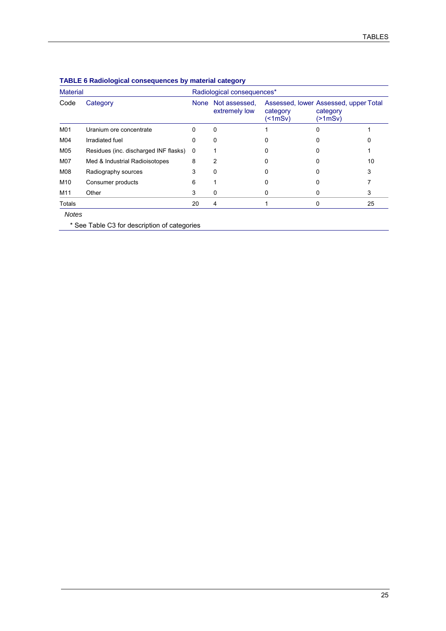| <b>Material</b> |                                       |              | Radiological consequences*     |                                                                      |                     |    |  |  |  |
|-----------------|---------------------------------------|--------------|--------------------------------|----------------------------------------------------------------------|---------------------|----|--|--|--|
| Code            | Category                              | <b>None</b>  | Not assessed.<br>extremely low | Assessed, lower Assessed, upper Total<br>category<br>$($ < 1 mSv $)$ | category<br>(>1mSv) |    |  |  |  |
| M01             | Uranium ore concentrate               | 0            | 0                              |                                                                      | 0                   |    |  |  |  |
| M04             | Irradiated fuel                       | 0            | 0                              | 0                                                                    |                     |    |  |  |  |
| M05             | Residues (inc. discharged INF flasks) | $\mathbf{0}$ |                                | O                                                                    |                     |    |  |  |  |
| M07             | Med & Industrial Radioisotopes        | 8            | 2                              | Ω                                                                    |                     | 10 |  |  |  |
| M08             | Radiography sources                   | 3            | $\Omega$                       |                                                                      |                     | 3  |  |  |  |
| M10             | Consumer products                     | 6            |                                |                                                                      |                     |    |  |  |  |
| M11             | Other                                 | 3            | 0                              | Ω                                                                    | 0                   | 3  |  |  |  |
| Totals          |                                       | 20           | 4                              |                                                                      | 0                   | 25 |  |  |  |
| <b>Notes</b>    |                                       |              |                                |                                                                      |                     |    |  |  |  |

#### **TABLE 6 Radiological consequences by material category**

\* See Table C3 for description of categories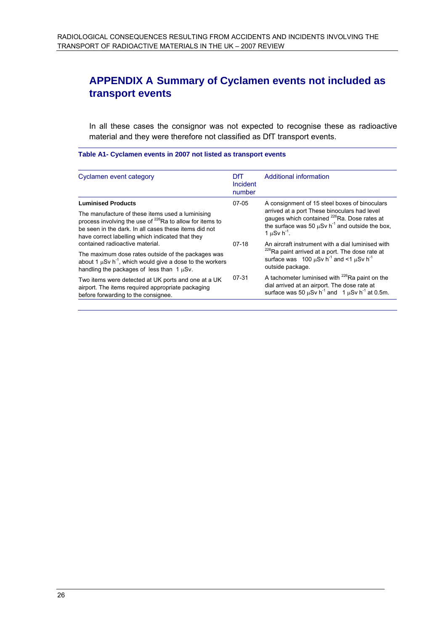# **APPENDIX A Summary of Cyclamen events not included as transport events**

In all these cases the consignor was not expected to recognise these as radioactive material and they were therefore not classified as DfT transport events.

#### **Table A1- Cyclamen events in 2007 not listed as transport events**

| Cyclamen event category                                                                                                                                                                                                                                            | DfT.<br>Incident<br>number | Additional information                                                                                                                                                                                                                                       |
|--------------------------------------------------------------------------------------------------------------------------------------------------------------------------------------------------------------------------------------------------------------------|----------------------------|--------------------------------------------------------------------------------------------------------------------------------------------------------------------------------------------------------------------------------------------------------------|
| <b>Luminised Products</b><br>The manufacture of these items used a luminising<br>process involving the use of <sup>226</sup> Ra to allow for items to<br>be seen in the dark. In all cases these items did not<br>have correct labelling which indicated that they | 07-05                      | A consignment of 15 steel boxes of binoculars<br>arrived at a port These binoculars had level<br>gauges which contained <sup>226</sup> Ra. Dose rates at<br>the surface was 50 $\mu$ Sv h <sup>-1</sup> and outside the box,<br>1 $\mu$ Sv h <sup>-1</sup> . |
| contained radioactive material.<br>The maximum dose rates outside of the packages was<br>about 1 $\mu$ Sv h <sup>-1</sup> , which would give a dose to the workers<br>handling the packages of less than $1 \mu Sv$ .                                              | $07-18$                    | An aircraft instrument with a dial luminised with<br><sup>226</sup> Ra paint arrived at a port. The dose rate at<br>surface was 100 $\mu$ Sv h <sup>-1</sup> and <1 $\mu$ Sv h <sup>-1</sup><br>outside package.                                             |
| Two items were detected at UK ports and one at a UK<br>airport. The items required appropriate packaging<br>before forwarding to the consignee.                                                                                                                    | 07-31                      | A tachometer luminised with <sup>226</sup> Ra paint on the<br>dial arrived at an airport. The dose rate at<br>surface was 50 $\mu$ Sv h <sup>-1</sup> and 1 $\mu$ Sv h <sup>-1</sup> at 0.5m.                                                                |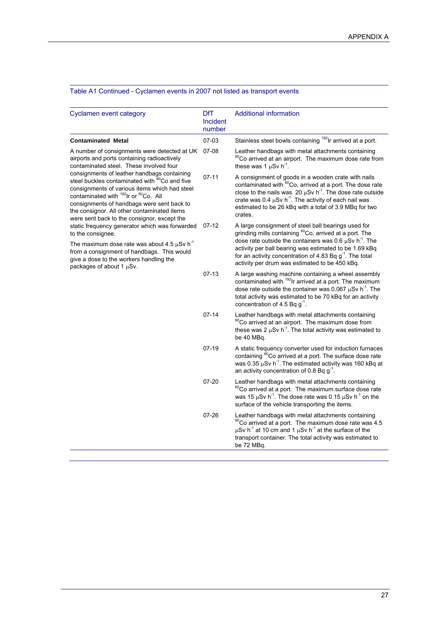| Cyclamen event category                                                                                                                                                                                                                                                                                                                                                                                                                                                                                                                                                                | <b>DfT</b><br>Incident<br>number | Additional information                                                                                                                                                                                                                                                                                                                                                            |
|----------------------------------------------------------------------------------------------------------------------------------------------------------------------------------------------------------------------------------------------------------------------------------------------------------------------------------------------------------------------------------------------------------------------------------------------------------------------------------------------------------------------------------------------------------------------------------------|----------------------------------|-----------------------------------------------------------------------------------------------------------------------------------------------------------------------------------------------------------------------------------------------------------------------------------------------------------------------------------------------------------------------------------|
| <b>Contaminated Metal</b>                                                                                                                                                                                                                                                                                                                                                                                                                                                                                                                                                              | $07-03$                          | Stainless steel bowls containing <sup>192</sup> Ir arrived at a port.                                                                                                                                                                                                                                                                                                             |
| A number of consignments were detected at UK<br>airports and ports containing radioactively<br>contaminated steel. These involved four<br>consignments of leather handbags containing<br>steel buckles contaminated with <sup>60</sup> Co and five<br>consignments of various items which had steel<br>contaminated with <sup>192</sup> Ir or <sup>60</sup> Co. All<br>consignments of handbags were sent back to<br>the consignor. All other contaminated items<br>were sent back to the consignor, except the<br>static frequency generator which was forwarded<br>to the consignee. | 07-08                            | Leather handbags with metal attachments containing<br><sup>60</sup> Co arrived at an airport. The maximum dose rate from<br>these was 1 $\mu$ Sv h <sup>-1</sup> .                                                                                                                                                                                                                |
|                                                                                                                                                                                                                                                                                                                                                                                                                                                                                                                                                                                        | $07 - 11$                        | A consignment of goods in a wooden crate with nails<br>contaminated with <sup>60</sup> Co, arrived at a port. The dose rate<br>close to the nails was 20 $\mu$ Sv h <sup>-1</sup> . The dose rate outside<br>crate was 0.4 $\mu$ Sv h <sup>-1</sup> . The activity of each nail was<br>estimated to be 26 kBq with a total of 3.9 MBq for two<br>crates.                          |
|                                                                                                                                                                                                                                                                                                                                                                                                                                                                                                                                                                                        | $07-12$                          | A large consignment of steel ball bearings used for<br>grinding mills containing <sup>60</sup> Co, arrived at a port. The<br>dose rate outside the containers was 0.6 $\mu$ Sv h <sup>-1</sup> . The<br>activity per ball bearing was estimated to be 1.69 kBq<br>for an activity concentration of 4.83 Bq $g^{-1}$ . The total<br>activity per drum was estimated to be 450 kBq. |
| The maximum dose rate was about 4.5 $\mu$ Sv h <sup>-1</sup><br>from a consignment of handbags. This would<br>give a dose to the workers handling the<br>packages of about 1 µSv.                                                                                                                                                                                                                                                                                                                                                                                                      |                                  |                                                                                                                                                                                                                                                                                                                                                                                   |
|                                                                                                                                                                                                                                                                                                                                                                                                                                                                                                                                                                                        | $07-13$                          | A large washing machine containing a wheel assembly<br>contaminated with <sup>192</sup> Ir arrived at a port. The maximum<br>dose rate outside the container was 0.067 $\mu$ Sv h <sup>-1</sup> . The<br>total activity was estimated to be 70 kBq for an activity<br>concentration of 4.5 Bq $g^{-1}$ .                                                                          |
|                                                                                                                                                                                                                                                                                                                                                                                                                                                                                                                                                                                        | $07 - 14$                        | Leather handbags with metal attachments containing<br><sup>60</sup> Co arrived at an airport. The maximum dose from<br>these was 2 $\mu$ Sv h <sup>-1</sup> . The total activity was estimated to<br>be 40 MBq.                                                                                                                                                                   |
|                                                                                                                                                                                                                                                                                                                                                                                                                                                                                                                                                                                        | $07-19$                          | A static frequency converter used for induction furnaces<br>containing <sup>60</sup> Co arrived at a port. The surface dose rate<br>was 0.35 $\mu$ Sv h <sup>-1</sup> . The estimated activity was 160 kBq at<br>an activity concentration of 0.8 Bq $g^1$ .                                                                                                                      |
|                                                                                                                                                                                                                                                                                                                                                                                                                                                                                                                                                                                        | $07 - 20$                        | Leather handbags with metal attachments containing<br><sup>60</sup> Co arrived at a port. The maximum surface dose rate<br>was 15 $\mu$ Sv h <sup>-1</sup> . The dose rate was 0.15 $\mu$ Sv h <sup>-1</sup> on the<br>surface of the vehicle transporting the items.                                                                                                             |
|                                                                                                                                                                                                                                                                                                                                                                                                                                                                                                                                                                                        | $07 - 26$                        | Leather handbags with metal attachments containing<br><sup>60</sup> Co arrived at a port. The maximum dose rate was 4.5<br>$\mu$ Sv h <sup>-1</sup> at 10 cm and 1 $\mu$ Sv h <sup>-1</sup> at the surface of the<br>transport container. The total activity was estimated to<br>be 72 MBq.                                                                                       |

#### Table A1 Continued - Cyclamen events in 2007 not listed as transport events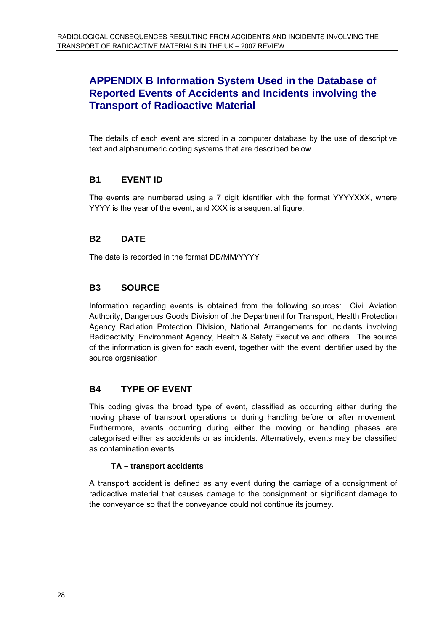# **APPENDIX B Information System Used in the Database of Reported Events of Accidents and Incidents involving the Transport of Radioactive Material**

The details of each event are stored in a computer database by the use of descriptive text and alphanumeric coding systems that are described below.

## **B1 EVENT ID**

The events are numbered using a 7 digit identifier with the format YYYYXXX, where YYYY is the year of the event, and XXX is a sequential figure.

## **B2 DATE**

The date is recorded in the format DD/MM/YYYY

## **B3 SOURCE**

Information regarding events is obtained from the following sources: Civil Aviation Authority, Dangerous Goods Division of the Department for Transport, Health Protection Agency Radiation Protection Division, National Arrangements for Incidents involving Radioactivity, Environment Agency, Health & Safety Executive and others. The source of the information is given for each event, together with the event identifier used by the source organisation.

## **B4 TYPE OF EVENT**

This coding gives the broad type of event, classified as occurring either during the moving phase of transport operations or during handling before or after movement. Furthermore, events occurring during either the moving or handling phases are categorised either as accidents or as incidents. Alternatively, events may be classified as contamination events.

#### **TA – transport accidents**

A transport accident is defined as any event during the carriage of a consignment of radioactive material that causes damage to the consignment or significant damage to the conveyance so that the conveyance could not continue its journey.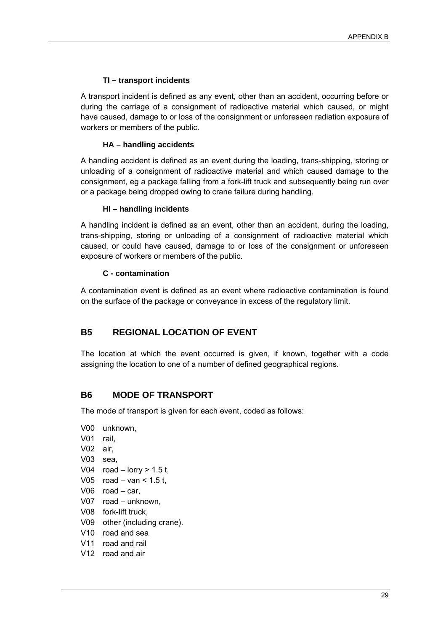#### **TI – transport incidents**

A transport incident is defined as any event, other than an accident, occurring before or during the carriage of a consignment of radioactive material which caused, or might have caused, damage to or loss of the consignment or unforeseen radiation exposure of workers or members of the public.

#### **HA – handling accidents**

A handling accident is defined as an event during the loading, trans-shipping, storing or unloading of a consignment of radioactive material and which caused damage to the consignment, eg a package falling from a fork-lift truck and subsequently being run over or a package being dropped owing to crane failure during handling.

#### **HI – handling incidents**

A handling incident is defined as an event, other than an accident, during the loading, trans-shipping, storing or unloading of a consignment of radioactive material which caused, or could have caused, damage to or loss of the consignment or unforeseen exposure of workers or members of the public.

#### **C - contamination**

A contamination event is defined as an event where radioactive contamination is found on the surface of the package or conveyance in excess of the regulatory limit.

## **B5 REGIONAL LOCATION OF EVENT**

The location at which the event occurred is given, if known, together with a code assigning the location to one of a number of defined geographical regions.

## **B6 MODE OF TRANSPORT**

The mode of transport is given for each event, coded as follows:

- V00 unknown, V01 rail, V02 air, V03 sea, V04  $road - lorry > 1.5 t$ , V05  $road - van < 1.5t$ , V06 road – car, V07 road – unknown, V08 fork-lift truck, V09 other (including crane). V10 road and sea V11 road and rail
- V12 road and air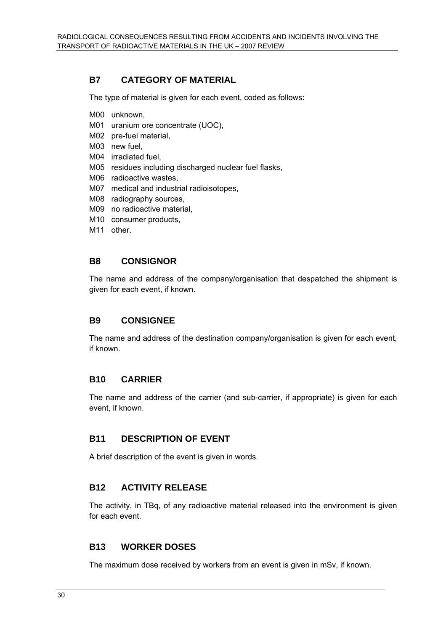## **B7 CATEGORY OF MATERIAL**

The type of material is given for each event, coded as follows:

- M00 unknown,
- M01 uranium ore concentrate (UOC),
- M02 pre-fuel material,
- M03 new fuel,
- M04 irradiated fuel,
- M05 residues including discharged nuclear fuel flasks,
- M06 radioactive wastes,
- M07 medical and industrial radioisotopes,
- M08 radiography sources,
- M09 no radioactive material,
- M10 consumer products,
- M<sub>11</sub> other.

#### **B8 CONSIGNOR**

The name and address of the company/organisation that despatched the shipment is given for each event, if known.

## **B9 CONSIGNEE**

The name and address of the destination company/organisation is given for each event, if known.

## **B10 CARRIER**

The name and address of the carrier (and sub-carrier, if appropriate) is given for each event, if known.

## **B11 DESCRIPTION OF EVENT**

A brief description of the event is given in words.

## **B12 ACTIVITY RELEASE**

The activity, in TBq, of any radioactive material released into the environment is given for each event.

## **B13 WORKER DOSES**

The maximum dose received by workers from an event is given in mSv, if known.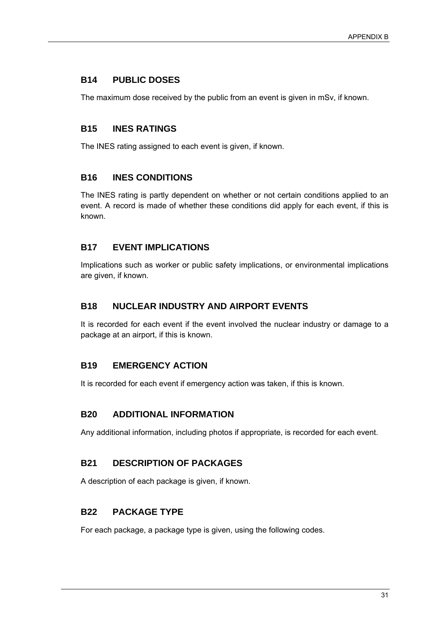## **B14 PUBLIC DOSES**

The maximum dose received by the public from an event is given in mSv, if known.

## **B15 INES RATINGS**

The INES rating assigned to each event is given, if known.

## **B16 INES CONDITIONS**

The INES rating is partly dependent on whether or not certain conditions applied to an event. A record is made of whether these conditions did apply for each event, if this is known.

## **B17 EVENT IMPLICATIONS**

Implications such as worker or public safety implications, or environmental implications are given, if known.

## **B18 NUCLEAR INDUSTRY AND AIRPORT EVENTS**

It is recorded for each event if the event involved the nuclear industry or damage to a package at an airport, if this is known.

## **B19 EMERGENCY ACTION**

It is recorded for each event if emergency action was taken, if this is known.

## **B20 ADDITIONAL INFORMATION**

Any additional information, including photos if appropriate, is recorded for each event.

## **B21 DESCRIPTION OF PACKAGES**

A description of each package is given, if known.

## **B22 PACKAGE TYPE**

For each package, a package type is given, using the following codes.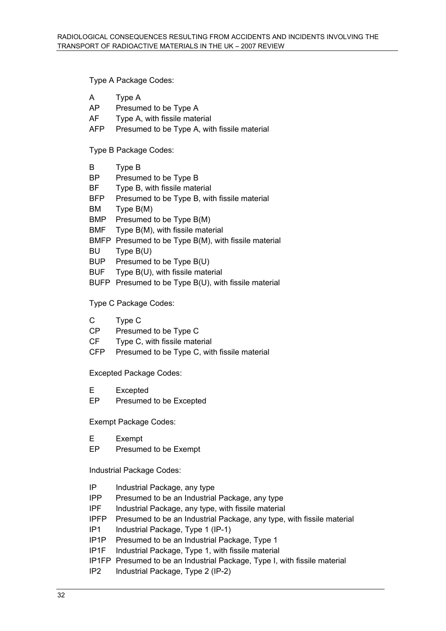Type A Package Codes:

- A Type A
- AP Presumed to be Type A
- AF Type A, with fissile material
- AFP Presumed to be Type A, with fissile material

Type B Package Codes:

- B Type B
- BP Presumed to be Type B
- BF Type B, with fissile material
- BFP Presumed to be Type B, with fissile material
- BM Type B(M)
- BMP Presumed to be Type B(M)
- BMF Type B(M), with fissile material
- BMFP Presumed to be Type B(M), with fissile material
- BU Type B(U)
- BUP Presumed to be Type B(U)
- BUF Type B(U), with fissile material
- BUFP Presumed to be Type B(U), with fissile material

Type C Package Codes:

- C Type C
- CP Presumed to be Type C
- CF Type C, with fissile material
- CFP Presumed to be Type C, with fissile material

Excepted Package Codes:

- E Excepted
- EP Presumed to be Excepted

Exempt Package Codes:

- E Exempt
- EP Presumed to be Exempt

Industrial Package Codes:

- IP Industrial Package, any type
- IPP Presumed to be an Industrial Package, any type
- IPF Industrial Package, any type, with fissile material
- IPFP Presumed to be an Industrial Package, any type, with fissile material
- IP1 Industrial Package, Type 1 (IP-1)
- IP1P Presumed to be an Industrial Package, Type 1
- IP1F Industrial Package, Type 1, with fissile material
- IP1FP Presumed to be an Industrial Package, Type I, with fissile material
- IP2 Industrial Package, Type 2 (IP-2)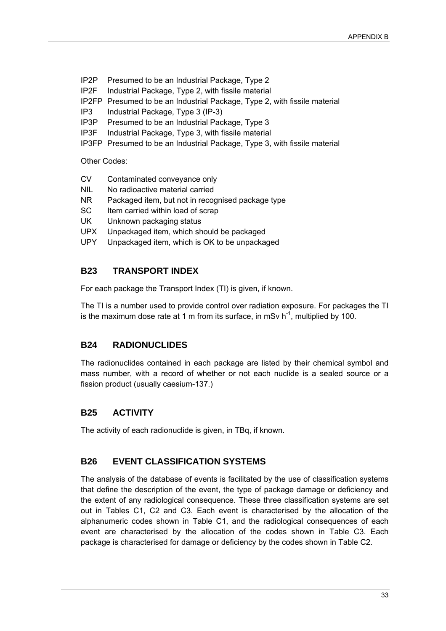- IP2P Presumed to be an Industrial Package, Type 2
- IP2F Industrial Package, Type 2, with fissile material
- IP2FP Presumed to be an Industrial Package, Type 2, with fissile material
- IP3 Industrial Package, Type 3 (IP-3)
- IP3P Presumed to be an Industrial Package, Type 3
- IP3F Industrial Package, Type 3, with fissile material
- IP3FP Presumed to be an Industrial Package, Type 3, with fissile material

Other Codes:

- CV Contaminated conveyance only
- NIL No radioactive material carried
- NR Packaged item, but not in recognised package type
- SC Item carried within load of scrap
- UK Unknown packaging status
- UPX Unpackaged item, which should be packaged
- UPY Unpackaged item, which is OK to be unpackaged

## **B23 TRANSPORT INDEX**

For each package the Transport Index (TI) is given, if known.

The TI is a number used to provide control over radiation exposure. For packages the TI is the maximum dose rate at 1 m from its surface, in mSv  $h^{-1}$ , multiplied by 100.

## **B24 RADIONUCLIDES**

The radionuclides contained in each package are listed by their chemical symbol and mass number, with a record of whether or not each nuclide is a sealed source or a fission product (usually caesium-137.)

## **B25 ACTIVITY**

The activity of each radionuclide is given, in TBq, if known.

## **B26 EVENT CLASSIFICATION SYSTEMS**

The analysis of the database of events is facilitated by the use of classification systems that define the description of the event, the type of package damage or deficiency and the extent of any radiological consequence. These three classification systems are set out in Tables C1, C2 and C3. Each event is characterised by the allocation of the alphanumeric codes shown in Table C1, and the radiological consequences of each event are characterised by the allocation of the codes shown in Table C3. Each package is characterised for damage or deficiency by the codes shown in Table C2.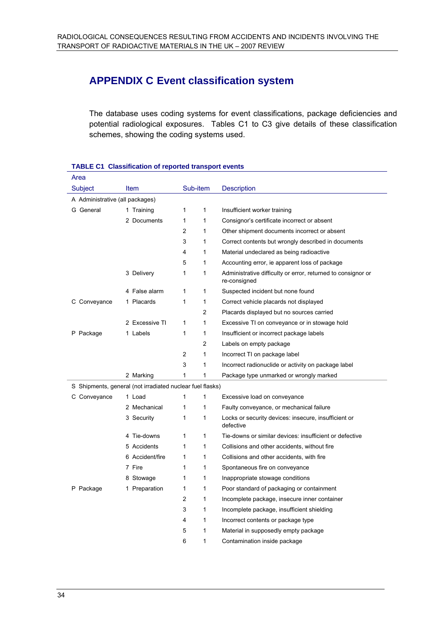# **APPENDIX C Event classification system**

The database uses coding systems for event classifications, package deficiencies and potential radiological exposures. Tables C1 to C3 give details of these classification schemes, showing the coding systems used.

| Area                            |                                                           |                |                |                                                                              |
|---------------------------------|-----------------------------------------------------------|----------------|----------------|------------------------------------------------------------------------------|
| Subject                         | Item                                                      | Sub-item       |                | <b>Description</b>                                                           |
| A Administrative (all packages) |                                                           |                |                |                                                                              |
| G General                       | 1 Training                                                | 1              | 1              | Insufficient worker training                                                 |
|                                 | 2 Documents                                               | 1              | $\mathbf{1}$   | Consignor's certificate incorrect or absent                                  |
|                                 |                                                           | 2              | 1              | Other shipment documents incorrect or absent                                 |
|                                 |                                                           | 3              | $\mathbf{1}$   | Correct contents but wrongly described in documents                          |
|                                 |                                                           | 4              | 1              | Material undeclared as being radioactive                                     |
|                                 |                                                           | 5              | 1              | Accounting error, ie apparent loss of package                                |
|                                 | 3 Delivery                                                | 1              | 1              | Administrative difficulty or error, returned to consignor or<br>re-consigned |
|                                 | 4 False alarm                                             | 1              | 1              | Suspected incident but none found                                            |
| C Conveyance                    | 1 Placards                                                | 1              | 1              | Correct vehicle placards not displayed                                       |
|                                 |                                                           |                | $\overline{2}$ | Placards displayed but no sources carried                                    |
|                                 | 2 Excessive TI                                            | 1              | 1              | Excessive TI on conveyance or in stowage hold                                |
| P Package                       | 1 Labels                                                  | 1              | 1              | Insufficient or incorrect package labels                                     |
|                                 |                                                           |                | $\overline{c}$ | Labels on empty package                                                      |
|                                 |                                                           | 2              | 1              | Incorrect TI on package label                                                |
|                                 |                                                           | 3              | 1              | Incorrect radionuclide or activity on package label                          |
|                                 | 2 Marking                                                 | 1              | 1              | Package type unmarked or wrongly marked                                      |
|                                 | S Shipments, general (not irradiated nuclear fuel flasks) |                |                |                                                                              |
| C Conveyance                    | 1 Load                                                    | 1              | $\mathbf{1}$   | Excessive load on conveyance                                                 |
|                                 | 2 Mechanical                                              | 1              | 1              | Faulty conveyance, or mechanical failure                                     |
|                                 | 3 Security                                                | 1              | 1              | Locks or security devices: insecure, insufficient or<br>defective            |
|                                 | 4 Tie-downs                                               | 1              | 1              | Tie-downs or similar devices: insufficient or defective                      |
|                                 | 5 Accidents                                               | 1              | 1              | Collisions and other accidents, without fire.                                |
|                                 | 6 Accident/fire                                           | 1              | 1              | Collisions and other accidents, with fire                                    |
|                                 | 7 Fire                                                    | 1              | 1              | Spontaneous fire on conveyance                                               |
|                                 | 8 Stowage                                                 | 1              | 1              | Inappropriate stowage conditions                                             |
| P Package                       | 1 Preparation                                             | 1              | 1              | Poor standard of packaging or containment                                    |
|                                 |                                                           | $\overline{2}$ | 1              | Incomplete package, insecure inner container                                 |
|                                 |                                                           | 3              | 1              | Incomplete package, insufficient shielding                                   |
|                                 |                                                           | 4              | 1              | Incorrect contents or package type                                           |
|                                 |                                                           | 5              | $\mathbf{1}$   | Material in supposedly empty package                                         |
|                                 |                                                           | 6              | $\mathbf{1}$   | Contamination inside package                                                 |

#### **TABLE C1 Classification of reported transport events**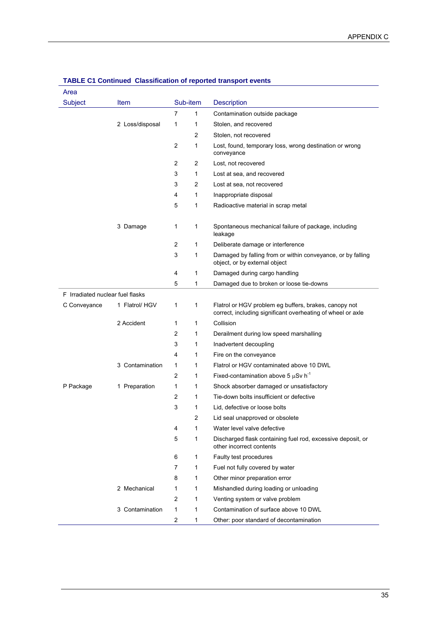| Area                             |                 |                |          |                                                                                                                      |
|----------------------------------|-----------------|----------------|----------|----------------------------------------------------------------------------------------------------------------------|
| <b>Subject</b>                   | Item            |                | Sub-item | <b>Description</b>                                                                                                   |
|                                  |                 | 7              | 1        | Contamination outside package                                                                                        |
|                                  | 2 Loss/disposal | 1              | 1        | Stolen, and recovered                                                                                                |
|                                  |                 |                | 2        | Stolen, not recovered                                                                                                |
|                                  |                 | $\overline{c}$ | 1        | Lost, found, temporary loss, wrong destination or wrong<br>conveyance                                                |
|                                  |                 | 2              | 2        | Lost, not recovered                                                                                                  |
|                                  |                 | 3              | 1        | Lost at sea, and recovered                                                                                           |
|                                  |                 | 3              | 2        | Lost at sea, not recovered                                                                                           |
|                                  |                 | 4              | 1        | Inappropriate disposal                                                                                               |
|                                  |                 | 5              | 1        | Radioactive material in scrap metal                                                                                  |
|                                  | 3 Damage        | 1              | 1        | Spontaneous mechanical failure of package, including<br>leakage                                                      |
|                                  |                 | 2              | 1        | Deliberate damage or interference                                                                                    |
|                                  |                 | 3              | 1        | Damaged by falling from or within conveyance, or by falling<br>object, or by external object                         |
|                                  |                 | 4              | 1        | Damaged during cargo handling                                                                                        |
|                                  |                 | 5              | 1        | Damaged due to broken or loose tie-downs                                                                             |
| F Irradiated nuclear fuel flasks |                 |                |          |                                                                                                                      |
| C Conveyance                     | 1 Flatrol/ HGV  | 1              | 1        | Flatrol or HGV problem eg buffers, brakes, canopy not<br>correct, including significant overheating of wheel or axle |
|                                  | 2 Accident      | 1              | 1        | Collision                                                                                                            |
|                                  |                 | 2              | 1        | Derailment during low speed marshalling                                                                              |
|                                  |                 | 3              | 1        | Inadvertent decoupling                                                                                               |
|                                  |                 | 4              | 1        | Fire on the conveyance                                                                                               |
|                                  | 3 Contamination | 1              | 1        | Flatrol or HGV contaminated above 10 DWL                                                                             |
|                                  |                 | 2              | 1        | Fixed-contamination above 5 $\mu$ Sv h <sup>-1</sup>                                                                 |
| P Package                        | 1 Preparation   | 1              | 1        | Shock absorber damaged or unsatisfactory                                                                             |
|                                  |                 | 2              | 1        | Tie-down bolts insufficient or defective                                                                             |
|                                  |                 | 3              | 1        | Lid, defective or loose bolts                                                                                        |
|                                  |                 |                | 2        | Lid seal unapproved or obsolete                                                                                      |
|                                  |                 | 4              | 1        | Water level valve defective                                                                                          |
|                                  |                 | 5              | 1        | Discharged flask containing fuel rod, excessive deposit, or<br>other incorrect contents                              |
|                                  |                 | 6              | 1        | Faulty test procedures                                                                                               |
|                                  |                 | 7              | 1        | Fuel not fully covered by water                                                                                      |
|                                  |                 | 8              | 1        | Other minor preparation error                                                                                        |
|                                  | 2 Mechanical    | 1              | 1        | Mishandled during loading or unloading                                                                               |
|                                  |                 | 2              | 1        | Venting system or valve problem                                                                                      |
|                                  | 3 Contamination | 1              | 1        | Contamination of surface above 10 DWL                                                                                |
|                                  |                 | 2              | 1        | Other: poor standard of decontamination                                                                              |

#### **TABLE C1 Continued Classification of reported transport events**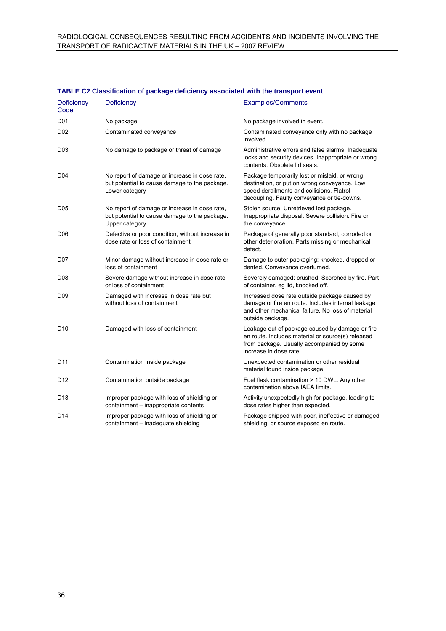| Deficiency<br>Code | Deficiency                                                                                                       | <b>Examples/Comments</b>                                                                                                                                                                  |
|--------------------|------------------------------------------------------------------------------------------------------------------|-------------------------------------------------------------------------------------------------------------------------------------------------------------------------------------------|
| D <sub>01</sub>    | No package                                                                                                       | No package involved in event.                                                                                                                                                             |
| D <sub>02</sub>    | Contaminated conveyance                                                                                          | Contaminated conveyance only with no package<br>involved.                                                                                                                                 |
| D <sub>0</sub> 3   | No damage to package or threat of damage                                                                         | Administrative errors and false alarms. Inadequate<br>locks and security devices. Inappropriate or wrong<br>contents. Obsolete lid seals.                                                 |
| D <sub>04</sub>    | No report of damage or increase in dose rate,<br>but potential to cause damage to the package.<br>Lower category | Package temporarily lost or mislaid, or wrong<br>destination, or put on wrong conveyance. Low<br>speed derailments and collisions. Flatrol<br>decoupling. Faulty conveyance or tie-downs. |
| D <sub>05</sub>    | No report of damage or increase in dose rate,<br>but potential to cause damage to the package.<br>Upper category | Stolen source. Unretrieved lost package.<br>Inappropriate disposal. Severe collision. Fire on<br>the conveyance.                                                                          |
| D <sub>06</sub>    | Defective or poor condition, without increase in<br>dose rate or loss of containment                             | Package of generally poor standard, corroded or<br>other deterioration. Parts missing or mechanical<br>defect.                                                                            |
| D <sub>0</sub> 7   | Minor damage without increase in dose rate or<br>loss of containment                                             | Damage to outer packaging: knocked, dropped or<br>dented. Conveyance overturned.                                                                                                          |
| D <sub>08</sub>    | Severe damage without increase in dose rate<br>or loss of containment                                            | Severely damaged: crushed. Scorched by fire. Part<br>of container, eg lid, knocked off.                                                                                                   |
| D <sub>09</sub>    | Damaged with increase in dose rate but<br>without loss of containment                                            | Increased dose rate outside package caused by<br>damage or fire en route. Includes internal leakage<br>and other mechanical failure. No loss of material<br>outside package.              |
| D <sub>10</sub>    | Damaged with loss of containment                                                                                 | Leakage out of package caused by damage or fire<br>en route. Includes material or source(s) released<br>from package. Usually accompanied by some<br>increase in dose rate.               |
| D <sub>11</sub>    | Contamination inside package                                                                                     | Unexpected contamination or other residual<br>material found inside package.                                                                                                              |
| D <sub>12</sub>    | Contamination outside package                                                                                    | Fuel flask contamination > 10 DWL. Any other<br>contamination above IAEA limits.                                                                                                          |
| D <sub>13</sub>    | Improper package with loss of shielding or<br>containment - inappropriate contents                               | Activity unexpectedly high for package, leading to<br>dose rates higher than expected.                                                                                                    |
| D <sub>14</sub>    | Improper package with loss of shielding or<br>containment - inadequate shielding                                 | Package shipped with poor, ineffective or damaged<br>shielding, or source exposed en route.                                                                                               |

## **TABLE C2 Classification of package deficiency associated with the transport event**